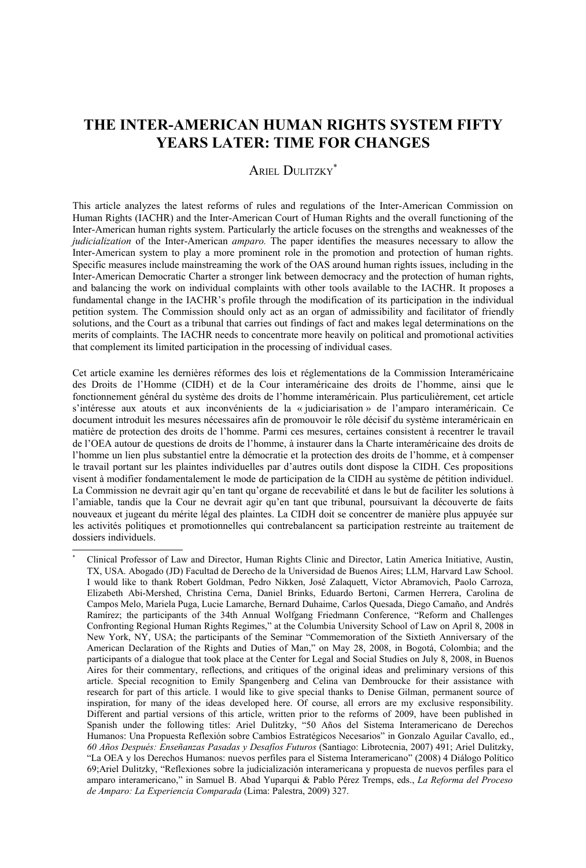# **THE INTER-AMERICAN HUMAN RIGHTS SYSTEM FIFTY YEARS LATER: TIME FOR CHANGES**

## ARIEL DULITZKY<sup>[\\*](#page-0-0)</sup>

This article analyzes the latest reforms of rules and regulations of the Inter-American Commission on Human Rights (IACHR) and the Inter-American Court of Human Rights and the overall functioning of the Inter-American human rights system. Particularly the article focuses on the strengths and weaknesses of the *judicialization* of the Inter-American *amparo.* The paper identifies the measures necessary to allow the Inter-American system to play a more prominent role in the promotion and protection of human rights. Specific measures include mainstreaming the work of the OAS around human rights issues, including in the Inter-American Democratic Charter a stronger link between democracy and the protection of human rights, and balancing the work on individual complaints with other tools available to the IACHR. It proposes a fundamental change in the IACHR's profile through the modification of its participation in the individual petition system. The Commission should only act as an organ of admissibility and facilitator of friendly solutions, and the Court as a tribunal that carries out findings of fact and makes legal determinations on the merits of complaints. The IACHR needs to concentrate more heavily on political and promotional activities that complement its limited participation in the processing of individual cases.

Cet article examine les dernières réformes des lois et réglementations de la Commission Interaméricaine des Droits de l'Homme (CIDH) et de la Cour interaméricaine des droits de l'homme, ainsi que le fonctionnement général du système des droits de l'homme interaméricain. Plus particulièrement, cet article s'intéresse aux atouts et aux inconvénients de la « judiciarisation » de l'amparo interaméricain. Ce document introduit les mesures nécessaires afin de promouvoir le rôle décisif du système interaméricain en matière de protection des droits de l'homme. Parmi ces mesures, certaines consistent à recentrer le travail de l'OEA autour de questions de droits de l'homme, à instaurer dans la Charte interaméricaine des droits de l'homme un lien plus substantiel entre la démocratie et la protection des droits de l'homme, et à compenser le travail portant sur les plaintes individuelles par d'autres outils dont dispose la CIDH. Ces propositions visent à modifier fondamentalement le mode de participation de la CIDH au système de pétition individuel. La Commission ne devrait agir qu'en tant qu'organe de recevabilité et dans le but de faciliter les solutions à l'amiable, tandis que la Cour ne devrait agir qu'en tant que tribunal, poursuivant la découverte de faits nouveaux et jugeant du mérite légal des plaintes. La CIDH doit se concentrer de manière plus appuyée sur les activités politiques et promotionnelles qui contrebalancent sa participation restreinte au traitement de dossiers individuels.

<span id="page-0-0"></span><sup>\*</sup> Clinical Professor of Law and Director, Human Rights Clinic and Director, Latin America Initiative, Austin, TX, USA. Abogado (JD) Facultad de Derecho de la Universidad de Buenos Aires; LLM, Harvard Law School. I would like to thank Robert Goldman, Pedro Nikken, José Zalaquett, Víctor Abramovich, Paolo Carroza, Elizabeth Abi-Mershed, Christina Cerna, Daniel Brinks, Eduardo Bertoni, Carmen Herrera, Carolina de Campos Melo, Mariela Puga, Lucie Lamarche, Bernard Duhaime, Carlos Quesada, Diego Camaño, and Andrés Ramírez; the participants of the 34th Annual Wolfgang Friedmann Conference, "Reform and Challenges Confronting Regional Human Rights Regimes," at the Columbia University School of Law on April 8, 2008 in New York, NY, USA; the participants of the Seminar "Commemoration of the Sixtieth Anniversary of the American Declaration of the Rights and Duties of Man," on May 28, 2008, in Bogotá, Colombia; and the participants of a dialogue that took place at the Center for Legal and Social Studies on July 8, 2008, in Buenos Aires for their commentary, reflections, and critiques of the original ideas and preliminary versions of this article. Special recognition to Emily Spangenberg and Celina van Dembroucke for their assistance with research for part of this article. I would like to give special thanks to Denise Gilman, permanent source of inspiration, for many of the ideas developed here. Of course, all errors are my exclusive responsibility. Different and partial versions of this article, written prior to the reforms of 2009, have been published in Spanish under the following titles: Ariel Dulitzky, "50 Años del Sistema Interamericano de Derechos Humanos: Una Propuesta Reflexión sobre Cambios Estratégicos Necesarios" in Gonzalo Aguilar Cavallo, ed., *60 Años Después: Enseñanzas Pasadas y Desafíos Futuros* (Santiago: Librotecnia, 2007) 491; Ariel Dulitzky, "La OEA y los Derechos Humanos: nuevos perfiles para el Sistema Interamericano" (2008) 4 Diálogo Político 69;Ariel Dulitzky, "Reflexiones sobre la judicialización interamericana y propuesta de nuevos perfiles para el amparo interamericano," in Samuel B. Abad Yuparqui & Pablo Pérez Tremps, eds., *La Reforma del Proceso de Amparo: La Experiencia Comparada* (Lima: Palestra, 2009) 327.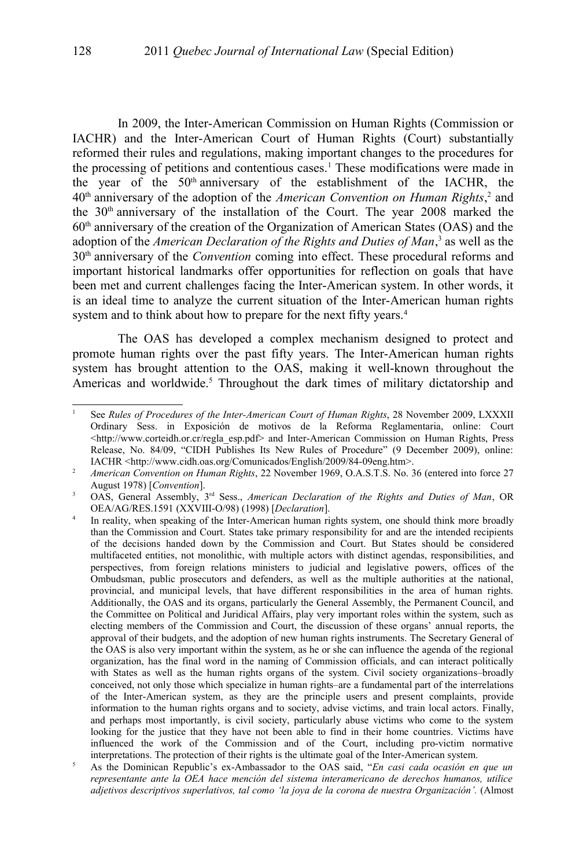In 2009, the Inter-American Commission on Human Rights (Commission or IACHR) and the Inter-American Court of Human Rights (Court) substantially reformed their rules and regulations, making important changes to the procedures for the processing of petitions and contentious cases.<sup>[1](#page-1-0)</sup> These modifications were made in the year of the  $50<sup>th</sup>$  anniversary of the establishment of the IACHR, the 40<sup>th</sup> anniversary of the adoption of the *American Convention on Human Rights*,<sup>[2](#page-1-1)</sup> and the 30<sup>th</sup> anniversary of the installation of the Court. The year 2008 marked the  $60<sup>th</sup>$  anniversary of the creation of the Organization of American States (OAS) and the adoption of the *American Declaration of the Rights and Duties of Man*,<sup>[3](#page-1-2)</sup> as well as the 30th anniversary of the *Convention* coming into effect. These procedural reforms and important historical landmarks offer opportunities for reflection on goals that have been met and current challenges facing the Inter-American system. In other words, it is an ideal time to analyze the current situation of the Inter-American human rights system and to think about how to prepare for the next fifty years.<sup>[4](#page-1-3)</sup>

The OAS has developed a complex mechanism designed to protect and promote human rights over the past fifty years. The Inter-American human rights system has brought attention to the OAS, making it well-known throughout the Americas and worldwide.<sup>[5](#page-1-4)</sup> Throughout the dark times of military dictatorship and

<span id="page-1-0"></span><sup>1</sup> See *Rules of Procedures of the Inter-American Court of Human Rights*, 28 November 2009, LXXXII Ordinary Sess. in Exposición de motivos de la Reforma Reglamentaria, online: Court <http://www.corteidh.or.cr/regla\_esp.pdf> and Inter-American Commission on Human Rights, Press Release, No. 84/09, "CIDH Publishes Its New Rules of Procedure" (9 December 2009), online: IACHR <http://www.cidh.oas.org/Comunicados/English/2009/84-09eng.htm>.

<span id="page-1-1"></span><sup>&</sup>lt;sup>2</sup> *American Convention on Human Rights*, 22 November 1969, O.A.S.T.S. No. 36 (entered into force 27 August 1978) [*Convention*].

<span id="page-1-2"></span><sup>&</sup>lt;sup>3</sup> OAS, General Assembly, <sup>3rd</sup> Sess., *American Declaration of the Rights and Duties of Man*, OR OEA/AG/RES.1591 (XXVIII-O/98) (1998) [*Declaration*].

<span id="page-1-3"></span><sup>4</sup> In reality, when speaking of the Inter-American human rights system, one should think more broadly than the Commission and Court. States take primary responsibility for and are the intended recipients of the decisions handed down by the Commission and Court. But States should be considered multifaceted entities, not monolithic, with multiple actors with distinct agendas, responsibilities, and perspectives, from foreign relations ministers to judicial and legislative powers, offices of the Ombudsman, public prosecutors and defenders, as well as the multiple authorities at the national, provincial, and municipal levels, that have different responsibilities in the area of human rights. Additionally, the OAS and its organs, particularly the General Assembly, the Permanent Council, and the Committee on Political and Juridical Affairs, play very important roles within the system, such as electing members of the Commission and Court, the discussion of these organs' annual reports, the approval of their budgets, and the adoption of new human rights instruments. The Secretary General of the OAS is also very important within the system, as he or she can influence the agenda of the regional organization, has the final word in the naming of Commission officials, and can interact politically with States as well as the human rights organs of the system. Civil society organizations–broadly conceived, not only those which specialize in human rights–are a fundamental part of the interrelations of the Inter-American system, as they are the principle users and present complaints, provide information to the human rights organs and to society, advise victims, and train local actors. Finally, and perhaps most importantly, is civil society, particularly abuse victims who come to the system looking for the justice that they have not been able to find in their home countries. Victims have influenced the work of the Commission and of the Court, including pro-victim normative interpretations. The protection of their rights is the ultimate goal of the Inter-American system.

<span id="page-1-4"></span><sup>5</sup> As the Dominican Republic's ex-Ambassador to the OAS said, "*En casi cada ocasión en que un representante ante la OEA hace mención del sistema interamericano de derechos humanos, utilice adjetivos descriptivos superlativos, tal como 'la joya de la corona de nuestra Organización'.* (Almost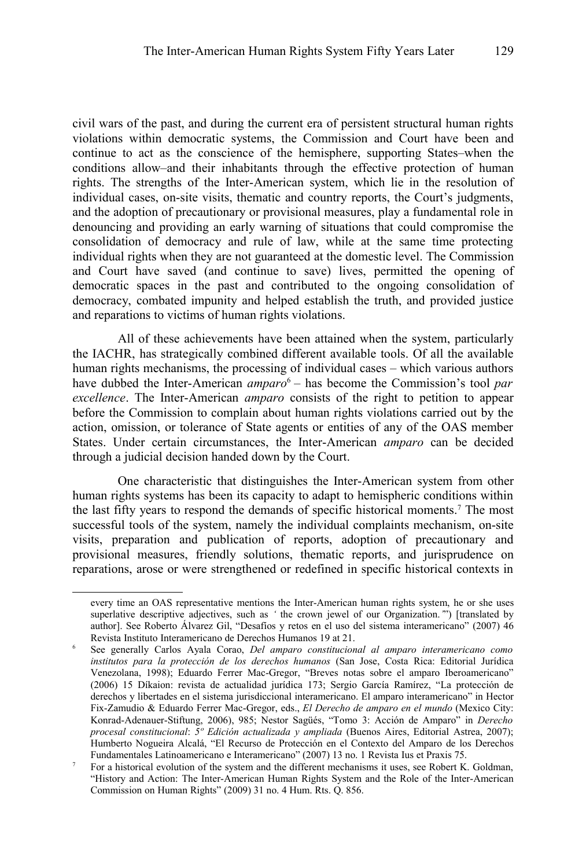civil wars of the past, and during the current era of persistent structural human rights violations within democratic systems, the Commission and Court have been and continue to act as the conscience of the hemisphere, supporting States–when the conditions allow–and their inhabitants through the effective protection of human rights. The strengths of the Inter-American system, which lie in the resolution of individual cases, on-site visits, thematic and country reports, the Court's judgments, and the adoption of precautionary or provisional measures, play a fundamental role in denouncing and providing an early warning of situations that could compromise the consolidation of democracy and rule of law, while at the same time protecting individual rights when they are not guaranteed at the domestic level. The Commission and Court have saved (and continue to save) lives, permitted the opening of democratic spaces in the past and contributed to the ongoing consolidation of democracy, combated impunity and helped establish the truth, and provided justice and reparations to victims of human rights violations.

All of these achievements have been attained when the system, particularly the IACHR, has strategically combined different available tools. Of all the available human rights mechanisms, the processing of individual cases – which various authors have dubbed the Inter-American *amparo*<sup>[6](#page-2-0)</sup> – has become the Commission's tool *par excellence*. The Inter-American *amparo* consists of the right to petition to appear before the Commission to complain about human rights violations carried out by the action, omission, or tolerance of State agents or entities of any of the OAS member States. Under certain circumstances, the Inter-American *amparo* can be decided through a judicial decision handed down by the Court.

One characteristic that distinguishes the Inter-American system from other human rights systems has been its capacity to adapt to hemispheric conditions within the last fifty years to respond the demands of specific historical moments.<sup>[7](#page-2-1)</sup> The most successful tools of the system, namely the individual complaints mechanism, on-site visits, preparation and publication of reports, adoption of precautionary and provisional measures, friendly solutions, thematic reports, and jurisprudence on reparations, arose or were strengthened or redefined in specific historical contexts in

every time an OAS representative mentions the Inter-American human rights system, he or she uses superlative descriptive adjectives, such as *'* the crown jewel of our Organization.*'*") [translated by author]. See Roberto Álvarez Gil, "Desafíos y retos en el uso del sistema interamericano" (2007) 46 Revista Instituto Interamericano de Derechos Humanos 19 at 21.

<span id="page-2-0"></span><sup>6</sup> See generally Carlos Ayala Corao, *Del amparo constitucional al amparo interamericano como institutos para la protección de los derechos humanos* (San Jose, Costa Rica: Editorial Jurídica Venezolana, 1998); Eduardo Ferrer Mac-Gregor, "Breves notas sobre el amparo Iberoamericano" (2006) 15 Díkaion: revista de actualidad jurídica 173; Sergio García Ramírez, "La protección de derechos y libertades en el sistema jurisdiccional interamericano. El amparo interamericano" in Hector Fix-Zamudio & Eduardo Ferrer Mac-Gregor, eds., *El Derecho de amparo en el mundo* (Mexico City: Konrad-Adenauer-Stiftung, 2006), 985; Nestor Sagüés, "Tomo 3: Acción de Amparo" in *Derecho procesal constitucional*: *5º Edición actualizada y ampliada* (Buenos Aires, Editorial Astrea, 2007); Humberto Nogueira Alcalá, "El Recurso de Protección en el Contexto del Amparo de los Derechos Fundamentales Latinoamericano e Interamericano" (2007) 13 no. 1 Revista Ius et Praxis 75.

<span id="page-2-1"></span><sup>7</sup> For a historical evolution of the system and the different mechanisms it uses, see Robert K. Goldman, "History and Action: The Inter-American Human Rights System and the Role of the Inter-American Commission on Human Rights" (2009) 31 no. 4 Hum. Rts. Q. 856.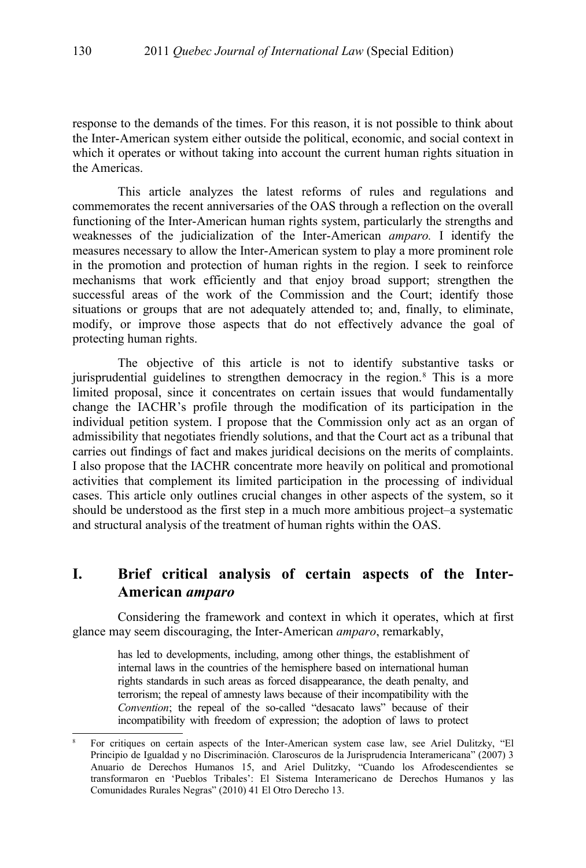response to the demands of the times. For this reason, it is not possible to think about the Inter-American system either outside the political, economic, and social context in which it operates or without taking into account the current human rights situation in the Americas.

This article analyzes the latest reforms of rules and regulations and commemorates the recent anniversaries of the OAS through a reflection on the overall functioning of the Inter-American human rights system, particularly the strengths and weaknesses of the judicialization of the Inter-American *amparo.* I identify the measures necessary to allow the Inter-American system to play a more prominent role in the promotion and protection of human rights in the region. I seek to reinforce mechanisms that work efficiently and that enjoy broad support; strengthen the successful areas of the work of the Commission and the Court; identify those situations or groups that are not adequately attended to; and, finally, to eliminate, modify, or improve those aspects that do not effectively advance the goal of protecting human rights.

The objective of this article is not to identify substantive tasks or jurisprudential guidelines to strengthen democracy in the region.<sup>[8](#page-3-0)</sup> This is a more limited proposal, since it concentrates on certain issues that would fundamentally change the IACHR's profile through the modification of its participation in the individual petition system. I propose that the Commission only act as an organ of admissibility that negotiates friendly solutions, and that the Court act as a tribunal that carries out findings of fact and makes juridical decisions on the merits of complaints. I also propose that the IACHR concentrate more heavily on political and promotional activities that complement its limited participation in the processing of individual cases. This article only outlines crucial changes in other aspects of the system, so it should be understood as the first step in a much more ambitious project–a systematic and structural analysis of the treatment of human rights within the OAS.

# **I. Brief critical analysis of certain aspects of the Inter-American** *amparo*

Considering the framework and context in which it operates, which at first glance may seem discouraging, the Inter-American *amparo*, remarkably,

> has led to developments, including, among other things, the establishment of internal laws in the countries of the hemisphere based on international human rights standards in such areas as forced disappearance, the death penalty, and terrorism; the repeal of amnesty laws because of their incompatibility with the *Convention*; the repeal of the so-called "desacato laws" because of their incompatibility with freedom of expression; the adoption of laws to protect

<span id="page-3-0"></span><sup>8</sup> For critiques on certain aspects of the Inter-American system case law, see Ariel Dulitzky, "El Principio de Igualdad y no Discriminación. Claroscuros de la Jurisprudencia Interamericana" (2007) 3 Anuario de Derechos Humanos 15, and Ariel Dulitzky, "Cuando los Afrodescendientes se transformaron en 'Pueblos Tribales': El Sistema Interamericano de Derechos Humanos y las Comunidades Rurales Negras" (2010) 41 El Otro Derecho 13.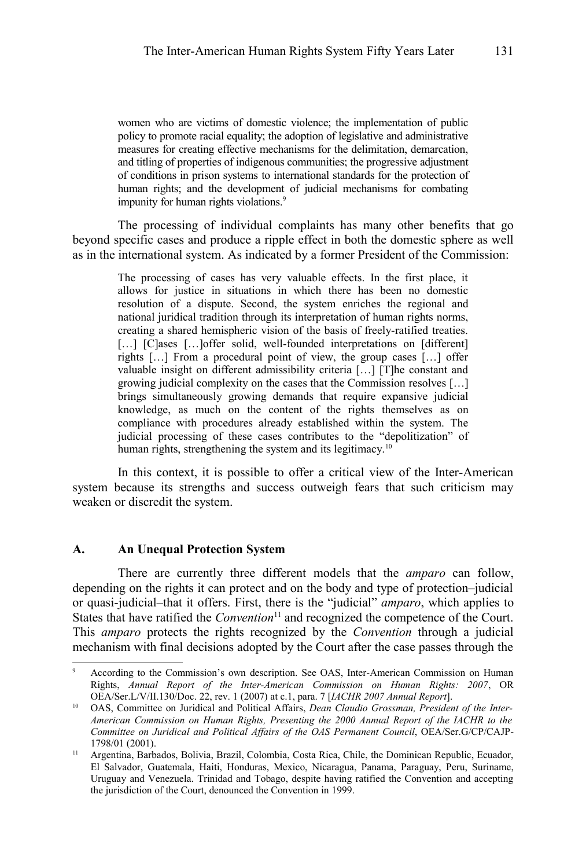women who are victims of domestic violence; the implementation of public policy to promote racial equality; the adoption of legislative and administrative measures for creating effective mechanisms for the delimitation, demarcation, and titling of properties of indigenous communities; the progressive adjustment of conditions in prison systems to international standards for the protection of human rights; and the development of judicial mechanisms for combating impunity for human rights violations.<sup>[9](#page-4-0)</sup>

The processing of individual complaints has many other benefits that go beyond specific cases and produce a ripple effect in both the domestic sphere as well as in the international system. As indicated by a former President of the Commission:

> The processing of cases has very valuable effects. In the first place, it allows for justice in situations in which there has been no domestic resolution of a dispute. Second, the system enriches the regional and national juridical tradition through its interpretation of human rights norms, creating a shared hemispheric vision of the basis of freely-ratified treaties. [...] [C]ases [...] offer solid, well-founded interpretations on [different] rights […] From a procedural point of view, the group cases […] offer valuable insight on different admissibility criteria […] [T]he constant and growing judicial complexity on the cases that the Commission resolves […] brings simultaneously growing demands that require expansive judicial knowledge, as much on the content of the rights themselves as on compliance with procedures already established within the system. The judicial processing of these cases contributes to the "depolitization" of human rights, strengthening the system and its legitimacy.<sup>[10](#page-4-1)</sup>

In this context, it is possible to offer a critical view of the Inter-American system because its strengths and success outweigh fears that such criticism may weaken or discredit the system.

#### **A. An Unequal Protection System**

There are currently three different models that the *amparo* can follow, depending on the rights it can protect and on the body and type of protection–judicial or quasi-judicial–that it offers. First, there is the "judicial" *amparo*, which applies to States that have ratified the *Convention*<sup>[11](#page-4-2)</sup> and recognized the competence of the Court. This *amparo* protects the rights recognized by the *Convention* through a judicial mechanism with final decisions adopted by the Court after the case passes through the

<span id="page-4-0"></span><sup>9</sup> According to the Commission's own description. See OAS, Inter-American Commission on Human Rights, *Annual Report of the Inter-American Commission on Human Rights: 2007*, OR OEA/Ser.L/V/II.130/Doc. 22, rev. 1 (2007) at c.1, para. 7 [*IACHR 2007 Annual Report*].

<span id="page-4-1"></span><sup>10</sup> OAS, Committee on Juridical and Political Affairs, *Dean Claudio Grossman, President of the Inter-American Commission on Human Rights, Presenting the 2000 Annual Report of the IACHR to the Committee on Juridical and Political Affairs of the OAS Permanent Council*, OEA/Ser.G/CP/CAJP-1798/01 (2001).

<span id="page-4-2"></span><sup>11</sup> Argentina, Barbados, Bolivia, Brazil, Colombia, Costa Rica, Chile, the Dominican Republic, Ecuador, El Salvador, Guatemala, Haiti, Honduras, Mexico, Nicaragua, Panama, Paraguay, Peru, Suriname, Uruguay and Venezuela. Trinidad and Tobago, despite having ratified the Convention and accepting the jurisdiction of the Court, denounced the Convention in 1999.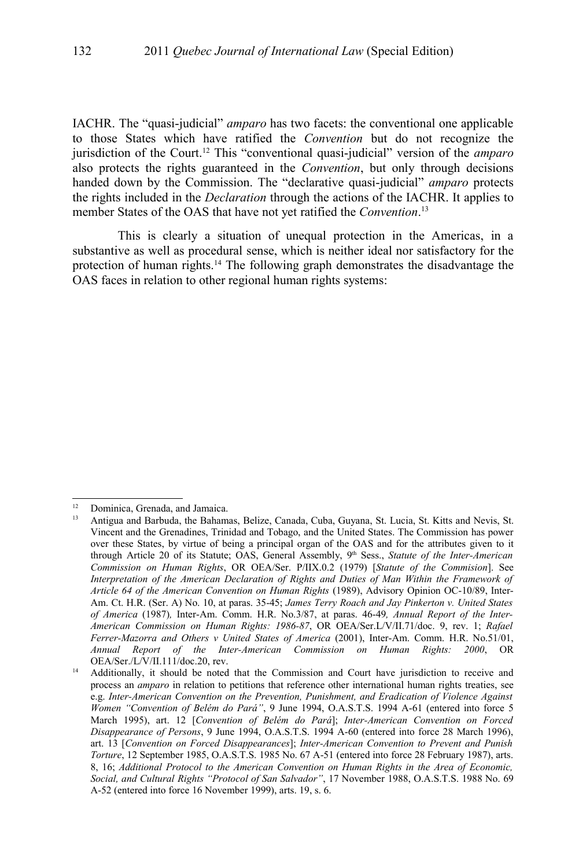IACHR. The "quasi-judicial" *amparo* has two facets: the conventional one applicable to those States which have ratified the *Convention* but do not recognize the jurisdiction of the Court.[12](#page-5-0) This "conventional quasi-judicial" version of the *amparo* also protects the rights guaranteed in the *Convention*, but only through decisions handed down by the Commission. The "declarative quasi-judicial" *amparo* protects the rights included in the *Declaration* through the actions of the IACHR. It applies to member States of the OAS that have not yet ratified the *Convention*. [13](#page-5-1)

This is clearly a situation of unequal protection in the Americas, in a substantive as well as procedural sense, which is neither ideal nor satisfactory for the protection of human rights.<sup>[14](#page-5-2)</sup> The following graph demonstrates the disadvantage the OAS faces in relation to other regional human rights systems:

<span id="page-5-0"></span>Dominica, Grenada, and Jamaica.

<span id="page-5-1"></span><sup>13</sup> Antigua and Barbuda, the Bahamas, Belize, Canada, Cuba, Guyana, St. Lucia, St. Kitts and Nevis, St. Vincent and the Grenadines, Trinidad and Tobago, and the United States. The Commission has power over these States, by virtue of being a principal organ of the OAS and for the attributes given to it through Article 20 of its Statute; OAS, General Assembly, 9<sup>th</sup> Sess., *Statute of the Inter-American Commission on Human Rights*, OR OEA/Ser. P/IIX.0.2 (1979) [*Statute of the Commision*]. See *Interpretation of the American Declaration of Rights and Duties of Man Within the Framework of Article 64 of the American Convention on Human Rights* (1989), Advisory Opinion OC-10/89, Inter-Am. Ct. H.R. (Ser. A) No. 10, at paras. 35-45; *James Terry Roach and Jay Pinkerton v. United States of America* (1987)*,* Inter-Am. Comm. H.R. No.3/87, at paras. 46-49*, Annual Report of the Inter-American Commission on Human Rights: 1986-87*, OR OEA/Ser.L/V/II.71/doc. 9, rev. 1; *Rafael Ferrer-Mazorra and Others v United States of America* (2001), Inter-Am. Comm. H.R. No.51/01, *Annual Report of the Inter-American Commission on Human Rights: 2000*, OR OEA/Ser./L/V/II.111/doc.20, rev.

<span id="page-5-2"></span><sup>&</sup>lt;sup>14</sup> Additionally, it should be noted that the Commission and Court have jurisdiction to receive and process an *amparo* in relation to petitions that reference other international human rights treaties, see e.g. *Inter-American Convention on the Prevention, Punishment, and Eradication of Violence Against Women "Convention of Belém do Pará"*, 9 June 1994, O.A.S.T.S. 1994 A-61 (entered into force 5 March 1995), art. 12 [*Convention of Belém do Pará*]; *Inter-American Convention on Forced Disappearance of Persons*, 9 June 1994, O.A.S.T.S. 1994 A-60 (entered into force 28 March 1996), art. 13 [*Convention on Forced Disappearances*]; *Inter-American Convention to Prevent and Punish Torture*, 12 September 1985, O.A.S.T.S. 1985 No. 67 A-51 (entered into force 28 February 1987), arts. 8, 16; *Additional Protocol to the American Convention on Human Rights in the Area of Economic, Social, and Cultural Rights "Protocol of San Salvador"*, 17 November 1988, O.A.S.T.S. 1988 No. 69 A-52 (entered into force 16 November 1999), arts. 19, s. 6.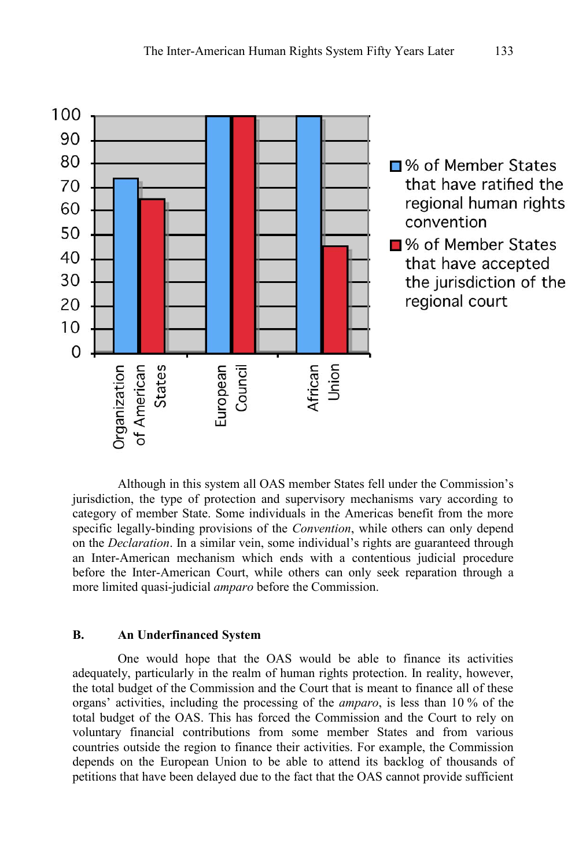

Although in this system all OAS member States fell under the Commission's jurisdiction, the type of protection and supervisory mechanisms vary according to category of member State. Some individuals in the Americas benefit from the more specific legally-binding provisions of the *Convention*, while others can only depend on the *Declaration*. In a similar vein, some individual's rights are guaranteed through an Inter-American mechanism which ends with a contentious judicial procedure before the Inter-American Court, while others can only seek reparation through a more limited quasi-judicial *amparo* before the Commission.

### **B. An Underfinanced System**

One would hope that the OAS would be able to finance its activities adequately, particularly in the realm of human rights protection. In reality, however, the total budget of the Commission and the Court that is meant to finance all of these organs' activities, including the processing of the *amparo*, is less than 10 % of the total budget of the OAS. This has forced the Commission and the Court to rely on voluntary financial contributions from some member States and from various countries outside the region to finance their activities. For example, the Commission depends on the European Union to be able to attend its backlog of thousands of petitions that have been delayed due to the fact that the OAS cannot provide sufficient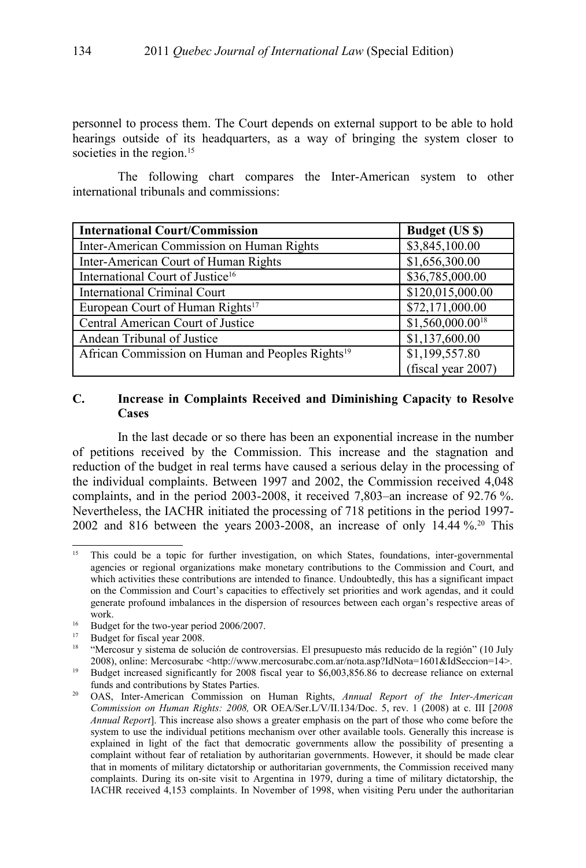personnel to process them. The Court depends on external support to be able to hold hearings outside of its headquarters, as a way of bringing the system closer to societies in the region.<sup>[15](#page-7-0)</sup>

The following chart compares the Inter-American system to other international tribunals and commissions:

| <b>International Court/Commission</b>                        | <b>Budget (US \$)</b> |
|--------------------------------------------------------------|-----------------------|
| Inter-American Commission on Human Rights                    | \$3,845,100.00        |
| Inter-American Court of Human Rights                         | \$1,656,300.00        |
| International Court of Justice <sup>16</sup>                 | \$36,785,000.00       |
| <b>International Criminal Court</b>                          | \$120,015,000.00      |
| European Court of Human Rights <sup>17</sup>                 | \$72,171,000.00       |
| Central American Court of Justice                            | $$1,560,000.00^{18}$  |
| Andean Tribunal of Justice                                   | \$1,137,600.00        |
| African Commission on Human and Peoples Rights <sup>19</sup> | \$1,199,557.80        |
|                                                              | (fiscal year 2007)    |

### **C. Increase in Complaints Received and Diminishing Capacity to Resolve Cases**

In the last decade or so there has been an exponential increase in the number of petitions received by the Commission. This increase and the stagnation and reduction of the budget in real terms have caused a serious delay in the processing of the individual complaints. Between 1997 and 2002, the Commission received 4,048 complaints, and in the period 2003-2008, it received 7,803–an increase of 92.76 %. Nevertheless, the IACHR initiated the processing of 718 petitions in the period 1997- 2002 and 816 between the years 2003-2008, an increase of only 14.44 %.[20](#page-7-5) This

<span id="page-7-0"></span><sup>&</sup>lt;sup>15</sup> This could be a topic for further investigation, on which States, foundations, inter-governmental agencies or regional organizations make monetary contributions to the Commission and Court, and which activities these contributions are intended to finance. Undoubtedly, this has a significant impact on the Commission and Court's capacities to effectively set priorities and work agendas, and it could generate profound imbalances in the dispersion of resources between each organ's respective areas of work.

<span id="page-7-1"></span><sup>&</sup>lt;sup>16</sup> Budget for the two-year period 2006/2007.

<span id="page-7-2"></span><sup>&</sup>lt;sup>17</sup> Budget for fiscal year 2008.

<span id="page-7-3"></span><sup>18</sup> "Mercosur y sistema de solución de controversias. El presupuesto más reducido de la región" (10 July 2008), online: Mercosurabc <http://www.mercosurabc.com.ar/nota.asp?IdNota=1601&IdSeccion=14>.

<span id="page-7-4"></span><sup>&</sup>lt;sup>19</sup> Budget increased significantly for 2008 fiscal year to \$6,003,856.86 to decrease reliance on external funds and contributions by States Parties.

<span id="page-7-5"></span><sup>20</sup> OAS, Inter-American Commission on Human Rights, *Annual Report of the Inter-American Commission on Human Rights: 2008,* OR OEA/Ser.L/V/II.134/Doc. 5, rev. 1 (2008) at c. III [*2008 Annual Report*]. This increase also shows a greater emphasis on the part of those who come before the system to use the individual petitions mechanism over other available tools. Generally this increase is explained in light of the fact that democratic governments allow the possibility of presenting a complaint without fear of retaliation by authoritarian governments. However, it should be made clear that in moments of military dictatorship or authoritarian governments, the Commission received many complaints. During its on-site visit to Argentina in 1979, during a time of military dictatorship, the IACHR received 4,153 complaints. In November of 1998, when visiting Peru under the authoritarian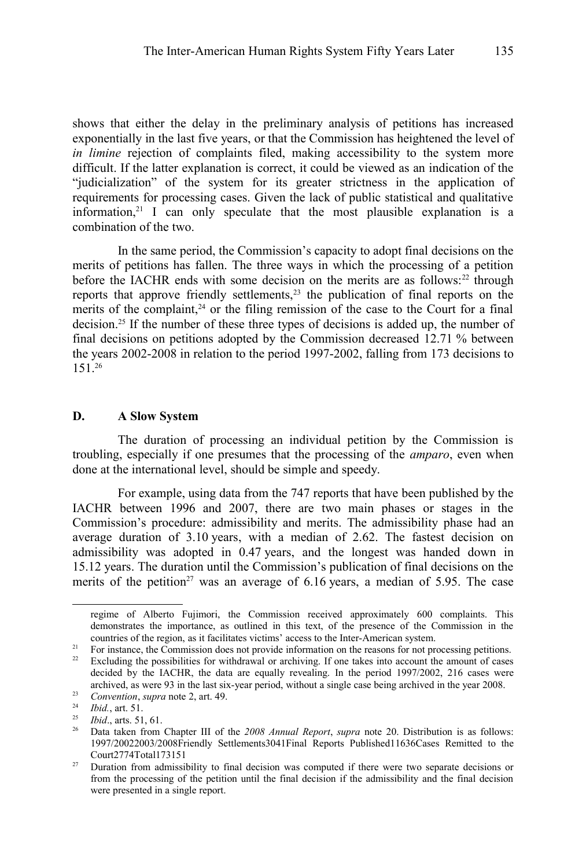shows that either the delay in the preliminary analysis of petitions has increased exponentially in the last five years, or that the Commission has heightened the level of *in limine* rejection of complaints filed, making accessibility to the system more difficult. If the latter explanation is correct, it could be viewed as an indication of the "judicialization" of the system for its greater strictness in the application of requirements for processing cases. Given the lack of public statistical and qualitative information, $21$  I can only speculate that the most plausible explanation is a combination of the two.

In the same period, the Commission's capacity to adopt final decisions on the merits of petitions has fallen. The three ways in which the processing of a petition before the IACHR ends with some decision on the merits are as follows:<sup>[22](#page-8-1)</sup> through reports that approve friendly settlements,<sup>[23](#page-8-2)</sup> the publication of final reports on the merits of the complaint,<sup>[24](#page-8-3)</sup> or the filing remission of the case to the Court for a final decision.[25](#page-8-4) If the number of these three types of decisions is added up, the number of final decisions on petitions adopted by the Commission decreased 12.71 % between the years 2002-2008 in relation to the period 1997-2002, falling from 173 decisions to 151.[26](#page-8-5)

#### **D. A Slow System**

The duration of processing an individual petition by the Commission is troubling, especially if one presumes that the processing of the *amparo*, even when done at the international level, should be simple and speedy.

For example, using data from the 747 reports that have been published by the IACHR between 1996 and 2007, there are two main phases or stages in the Commission's procedure: admissibility and merits. The admissibility phase had an average duration of 3.10 years, with a median of 2.62. The fastest decision on admissibility was adopted in 0.47 years, and the longest was handed down in 15.12 years. The duration until the Commission's publication of final decisions on the merits of the petition<sup>[27](#page-8-6)</sup> was an average of  $6.16$  years, a median of 5.95. The case

regime of Alberto Fujimori, the Commission received approximately 600 complaints. This demonstrates the importance, as outlined in this text, of the presence of the Commission in the countries of the region, as it facilitates victims' access to the Inter-American system.

<span id="page-8-0"></span><sup>&</sup>lt;sup>21</sup> For instance, the Commission does not provide information on the reasons for not processing petitions.<br><sup>22</sup> Excluding the nossibilities for withdrawal or archiving. If one takes into account the amount of cases

<span id="page-8-1"></span>Excluding the possibilities for withdrawal or archiving. If one takes into account the amount of cases decided by the IACHR, the data are equally revealing. In the period 1997/2002, 216 cases were archived, as were 93 in the last six-year period, without a single case being archived in the year 2008.

<span id="page-8-2"></span><sup>23</sup> *Convention*, *supra* note [2,](#page-1-1) art. 49.

<span id="page-8-3"></span><sup>24</sup> *Ibid.*, art. 51.

<span id="page-8-4"></span><sup>25</sup> *Ibid*., arts. 51, 61.

<span id="page-8-5"></span><sup>26</sup> Data taken from Chapter III of the *2008 Annual Report*, *supra* note [20.](#page-7-5) Distribution is as follows: 1997/20022003/2008Friendly Settlements3041Final Reports Published11636Cases Remitted to the Court2774Total173151

<span id="page-8-6"></span><sup>&</sup>lt;sup>27</sup> Duration from admissibility to final decision was computed if there were two separate decisions or from the processing of the petition until the final decision if the admissibility and the final decision were presented in a single report.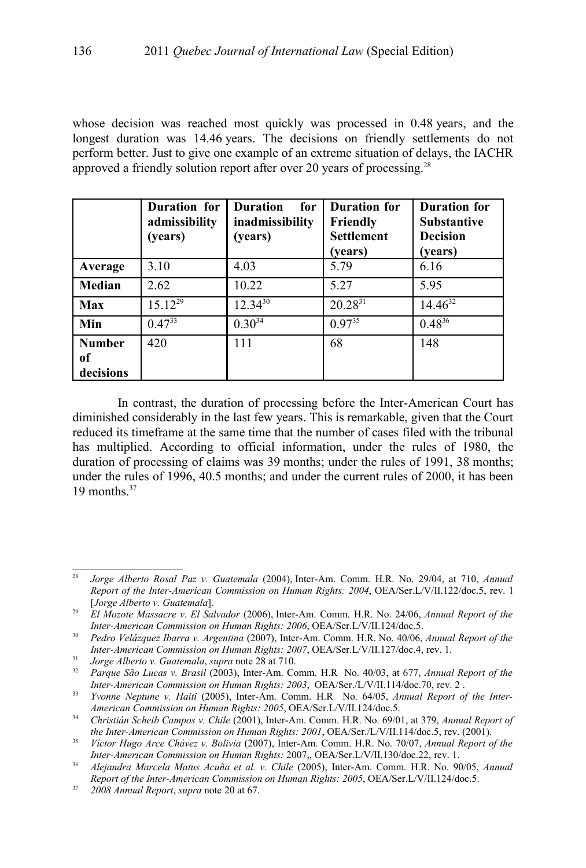whose decision was reached most quickly was processed in 0.48 years, and the longest duration was 14.46 years. The decisions on friendly settlements do not perform better. Just to give one example of an extreme situation of delays, the IACHR approved a friendly solution report after over 20 years of processing.[28](#page-9-0)

|                            | Duration for<br>admissibility<br>(years) | <b>Duration</b><br>for<br>inadmissibility<br>(years) | <b>Duration for</b><br>Friendly<br><b>Settlement</b><br>(years) | <b>Duration for</b><br><b>Substantive</b><br><b>Decision</b><br>(vears) |
|----------------------------|------------------------------------------|------------------------------------------------------|-----------------------------------------------------------------|-------------------------------------------------------------------------|
| Average                    | 3.10                                     | 4.03                                                 | 5.79                                                            | 6.16                                                                    |
| Median                     | 2.62                                     | 10.22                                                | 5.27                                                            | 5.95                                                                    |
| <b>Max</b>                 | $15.12^{29}$                             | $12.34^{30}$                                         | $20.28^{31}$                                                    | $14.46^{32}$                                                            |
| Min                        | $0.47^{33}$                              | $0.30^{34}$                                          | $0.97^{35}$                                                     | $0.48^{36}$                                                             |
| <b>Number</b>              | 420                                      | 111                                                  | 68                                                              | 148                                                                     |
| <sub>of</sub><br>decisions |                                          |                                                      |                                                                 |                                                                         |

In contrast, the duration of processing before the Inter-American Court has diminished considerably in the last few years. This is remarkable, given that the Court reduced its timeframe at the same time that the number of cases filed with the tribunal has multiplied. According to official information, under the rules of 1980, the duration of processing of claims was 39 months; under the rules of 1991, 38 months; under the rules of 1996, 40.5 months; and under the current rules of 2000, it has been 19 months.<sup>[37](#page-9-9)</sup>

<span id="page-9-0"></span><sup>28</sup> *Jorge Alberto Rosal Paz v. Guatemala* (2004), Inter-Am. Comm. H.R. No. 29/04, at 710, *Annual Report of the Inter-American Commission on Human Rights: 2004*, OEA/Ser.L/V/II.122/doc.5, rev. 1 [*Jorge Alberto v. Guatemala*].

<span id="page-9-1"></span><sup>29</sup> *El Mozote Massacre v. El Salvador* (2006), Inter-Am. Comm. H.R. No. 24/06, *Annual Report of the Inter-American Commission on Human Rights: 2006*, OEA/Ser.L/V/II.124/doc.5.

<span id="page-9-2"></span><sup>30</sup> *Pedro Velázquez Ibarra v. Argentina* (2007), Inter-Am. Comm. H.R. No. 40/06, *Annual Report of the Inter-American Commission on Human Rights: 2007*, OEA/Ser.L/V/II.127/doc.4, rev. 1.

<span id="page-9-3"></span><sup>31</sup> *Jorge Alberto v. Guatemala*, *supra* note [28](#page-9-0) at 710.

<span id="page-9-4"></span><sup>32</sup> *Parque São Lucas v. Brasil* (2003), Inter-Am. Comm. H.R No. 40/03, at 677, *Annual Report of the Inter-American Commission on Human Rights: 2003*, OEA/Ser./L/V/II.114/doc.70, rev. 2 .

<span id="page-9-5"></span><sup>33</sup> *Yvonne Neptune v. Haiti* (2005), Inter-Am. Comm. H.R No. 64/05, *Annual Report of the Inter-American Commission on Human Rights: 2005*, OEA/Ser.L/V/II.124/doc.5.

<span id="page-9-6"></span><sup>34</sup> *Christián Scheib Campos v. Chile* (2001), Inter-Am. Comm. H.R. No. 69/01, at 379, *Annual Report of the Inter-American Commission on Human Rights: 2001*, OEA/Ser./L/V/II.114/doc.5, rev. (2001).

<span id="page-9-7"></span><sup>35</sup> *Víctor Hugo Arce Chávez v. Bolivia* (2007), Inter-Am. Comm. H.R. No. 70/07, *Annual Report of the Inter-American Commission on Human Rights:* 2007,, OEA/Ser.L/V/II.130/doc.22, rev. 1.

<span id="page-9-8"></span><sup>36</sup> *Alejandra Marcela Matus Acuña et al. v. Chile* (2005), Inter-Am. Comm. H.R. No. 90/05, *Annual Report of the Inter-American Commission on Human Rights: 2005*, OEA/Ser.L/V/II.124/doc.5.

<span id="page-9-9"></span><sup>37</sup> *2008 Annual Report*, *supra* note [20](#page-7-5) at 67.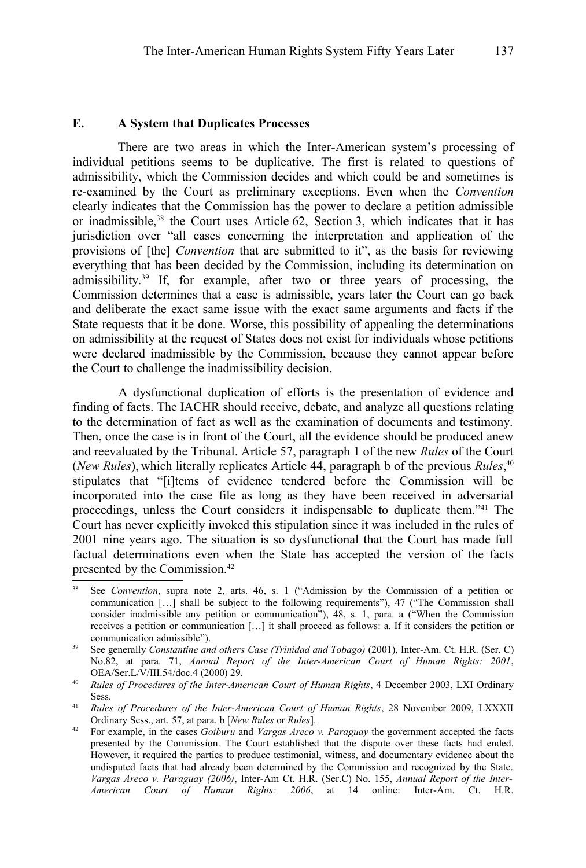There are two areas in which the Inter-American system's processing of individual petitions seems to be duplicative. The first is related to questions of admissibility, which the Commission decides and which could be and sometimes is re-examined by the Court as preliminary exceptions. Even when the *Convention* clearly indicates that the Commission has the power to declare a petition admissible or inadmissible, $38$  the Court uses Article 62, Section 3, which indicates that it has jurisdiction over "all cases concerning the interpretation and application of the provisions of [the] *Convention* that are submitted to it", as the basis for reviewing everything that has been decided by the Commission, including its determination on admissibility.[39](#page-10-1) If, for example, after two or three years of processing, the Commission determines that a case is admissible, years later the Court can go back and deliberate the exact same issue with the exact same arguments and facts if the State requests that it be done. Worse, this possibility of appealing the determinations on admissibility at the request of States does not exist for individuals whose petitions were declared inadmissible by the Commission, because they cannot appear before the Court to challenge the inadmissibility decision.

A dysfunctional duplication of efforts is the presentation of evidence and finding of facts. The IACHR should receive, debate, and analyze all questions relating to the determination of fact as well as the examination of documents and testimony. Then, once the case is in front of the Court, all the evidence should be produced anew and reevaluated by the Tribunal. Article 57, paragraph 1 of the new *Rules* of the Court (*New Rules*), which literally replicates Article 44, paragraph b of the previous *Rules*, [40](#page-10-2) stipulates that "[i]tems of evidence tendered before the Commission will be incorporated into the case file as long as they have been received in adversarial proceedings, unless the Court considers it indispensable to duplicate them."[41](#page-10-3) The Court has never explicitly invoked this stipulation since it was included in the rules of 2001 nine years ago. The situation is so dysfunctional that the Court has made full factual determinations even when the State has accepted the version of the facts presented by the Commission.[42](#page-10-4)

<span id="page-10-0"></span><sup>&</sup>lt;sup>38</sup> See *Convention*, supra note [2,](#page-1-1) arts. 46, s. 1 ("Admission by the Commission of a petition or communication […] shall be subject to the following requirements"), 47 ("The Commission shall consider inadmissible any petition or communication"), 48, s. 1, para. a ("When the Commission receives a petition or communication […] it shall proceed as follows: a. If it considers the petition or communication admissible").

<span id="page-10-1"></span><sup>39</sup> See generally *Constantine and others Case (Trinidad and Tobago)* (2001), Inter-Am. Ct. H.R. (Ser. C) No.82, at para. 71, *Annual Report of the Inter-American Court of Human Rights: 2001*, OEA/Ser.L/V/III.54/doc.4 (2000) 29.

<span id="page-10-2"></span><sup>40</sup> *Rules of Procedures of the Inter-American Court of Human Rights*, 4 December 2003, LXI Ordinary Sess.

<span id="page-10-3"></span><sup>41</sup> *Rules of Procedures of the Inter-American Court of Human Rights*, 28 November 2009, LXXXII Ordinary Sess., art. 57, at para. b [*New Rules* or *Rules*].

<span id="page-10-4"></span><sup>42</sup> For example, in the cases *Goiburu* and *Vargas Areco v. Paraguay* the government accepted the facts presented by the Commission. The Court established that the dispute over these facts had ended. However, it required the parties to produce testimonial, witness, and documentary evidence about the undisputed facts that had already been determined by the Commission and recognized by the State. *Vargas Areco v. Paraguay (2006)*, Inter-Am Ct. H.R. (Ser.C) No. 155, *Annual Report of the Inter-American Court of Human Rights: 2006*, at 14 online: Inter-Am. Ct. H.R.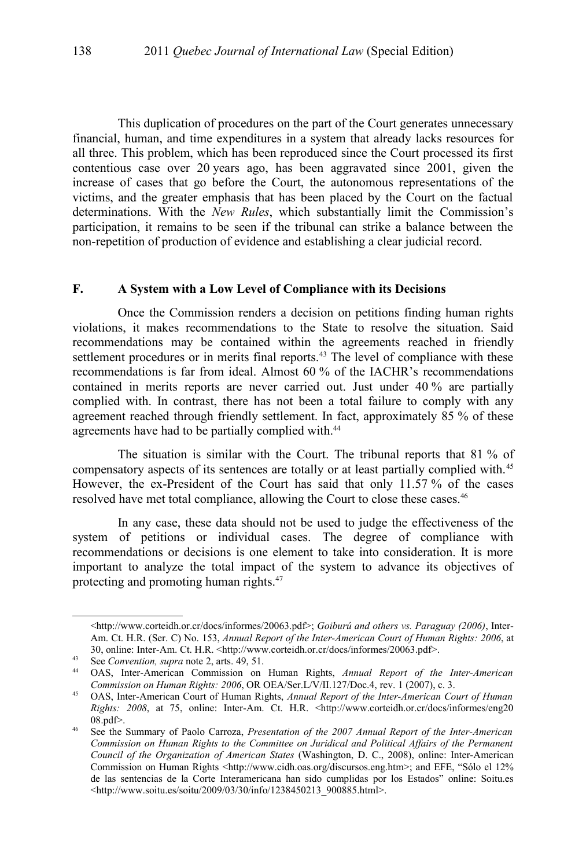This duplication of procedures on the part of the Court generates unnecessary financial, human, and time expenditures in a system that already lacks resources for all three. This problem, which has been reproduced since the Court processed its first contentious case over 20 years ago, has been aggravated since 2001, given the increase of cases that go before the Court, the autonomous representations of the victims, and the greater emphasis that has been placed by the Court on the factual determinations. With the *New Rules*, which substantially limit the Commission's participation, it remains to be seen if the tribunal can strike a balance between the non-repetition of production of evidence and establishing a clear judicial record.

#### **F. A System with a Low Level of Compliance with its Decisions**

Once the Commission renders a decision on petitions finding human rights violations, it makes recommendations to the State to resolve the situation. Said recommendations may be contained within the agreements reached in friendly settlement procedures or in merits final reports.<sup>[43](#page-11-0)</sup> The level of compliance with these recommendations is far from ideal. Almost 60 % of the IACHR's recommendations contained in merits reports are never carried out. Just under 40 % are partially complied with. In contrast, there has not been a total failure to comply with any agreement reached through friendly settlement. In fact, approximately 85 % of these agreements have had to be partially complied with.<sup>[44](#page-11-1)</sup>

The situation is similar with the Court. The tribunal reports that 81 % of compensatory aspects of its sentences are totally or at least partially complied with.[45](#page-11-2) However, the ex-President of the Court has said that only 11.57 % of the cases resolved have met total compliance, allowing the Court to close these cases.<sup>[46](#page-11-3)</sup>

In any case, these data should not be used to judge the effectiveness of the system of petitions or individual cases. The degree of compliance with recommendations or decisions is one element to take into consideration. It is more important to analyze the total impact of the system to advance its objectives of protecting and promoting human rights.[47](#page-12-0)

<sup>&</sup>lt;http://www.corteidh.or.cr/docs/informes/20063.pdf>; *Goiburú and others vs. Paraguay (2006)*, Inter-Am. Ct. H.R. (Ser. C) No. 153, *Annual Report of the Inter-American Court of Human Rights: 2006*, at 30, online: Inter-Am. Ct. H.R. <http://www.corteidh.or.cr/docs/informes/20063.pdf>.

<span id="page-11-0"></span><sup>43</sup> See *Convention, supra* note 2, arts. 49, 51.

<span id="page-11-1"></span><sup>44</sup> OAS, Inter-American Commission on Human Rights, *Annual Report of the Inter-American Commission on Human Rights: 2006*, OR OEA/Ser.L/V/II.127/Doc.4, rev. 1 (2007), c. 3.

<span id="page-11-2"></span><sup>45</sup> OAS, Inter-American Court of Human Rights, *Annual Report of the Inter-American Court of Human Rights: 2008*, at 75, online: Inter-Am. Ct. H.R. <http://www.corteidh.or.cr/docs/informes/eng20 08.pdf>.

<span id="page-11-3"></span><sup>46</sup> See the Summary of Paolo Carroza, *Presentation of the 2007 Annual Report of the Inter-American Commission on Human Rights to the Committee on Juridical and Political Affairs of the Permanent Council of the Organization of American States* (Washington, D. C., 2008), online: Inter-American Commission on Human Rights <http://www.cidh.oas.org/discursos.eng.htm>; and EFE, "Sólo el 12% de las sentencias de la Corte Interamericana han sido cumplidas por los Estados" online: Soitu.es <http://www.soitu.es/soitu/2009/03/30/info/1238450213\_900885.html>.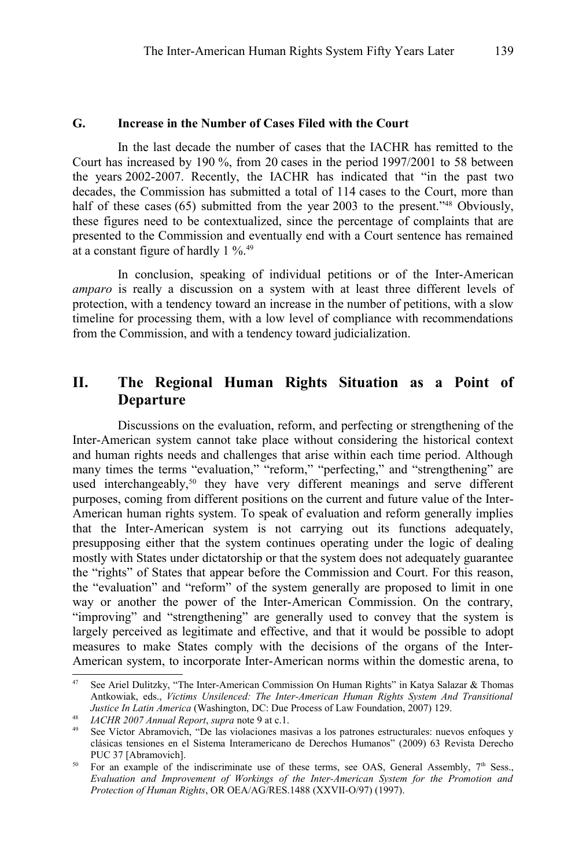#### **G. Increase in the Number of Cases Filed with the Court**

In the last decade the number of cases that the IACHR has remitted to the Court has increased by 190 %, from 20 cases in the period 1997/2001 to 58 between the years 2002-2007. Recently, the IACHR has indicated that "in the past two decades, the Commission has submitted a total of 114 cases to the Court, more than half of these cases (65) submitted from the year 2003 to the present."<sup>[48](#page-12-1)</sup> Obviously, these figures need to be contextualized, since the percentage of complaints that are presented to the Commission and eventually end with a Court sentence has remained at a constant figure of hardly 1 %.[49](#page-12-2)

In conclusion, speaking of individual petitions or of the Inter-American *amparo* is really a discussion on a system with at least three different levels of protection, with a tendency toward an increase in the number of petitions, with a slow timeline for processing them, with a low level of compliance with recommendations from the Commission, and with a tendency toward judicialization.

# **II. The Regional Human Rights Situation as a Point of Departure**

Discussions on the evaluation, reform, and perfecting or strengthening of the Inter-American system cannot take place without considering the historical context and human rights needs and challenges that arise within each time period. Although many times the terms "evaluation," "reform," "perfecting," and "strengthening" are used interchangeably,<sup>[50](#page-12-3)</sup> they have very different meanings and serve different purposes, coming from different positions on the current and future value of the Inter-American human rights system. To speak of evaluation and reform generally implies that the Inter-American system is not carrying out its functions adequately, presupposing either that the system continues operating under the logic of dealing mostly with States under dictatorship or that the system does not adequately guarantee the "rights" of States that appear before the Commission and Court. For this reason, the "evaluation" and "reform" of the system generally are proposed to limit in one way or another the power of the Inter-American Commission. On the contrary, "improving" and "strengthening" are generally used to convey that the system is largely perceived as legitimate and effective, and that it would be possible to adopt measures to make States comply with the decisions of the organs of the Inter-American system, to incorporate Inter-American norms within the domestic arena, to

<span id="page-12-0"></span>See Ariel Dulitzky, "The Inter-American Commission On Human Rights" in Katya Salazar & Thomas Antkowiak, eds., *Victims Unsilenced: The Inter-American Human Rights System And Transitional Justice In Latin America* (Washington, DC: Due Process of Law Foundation, 2007) 129.

<span id="page-12-1"></span><sup>48</sup> *IACHR 2007 Annual Report*, *supra* note [9](#page-4-0) at c.1.

<span id="page-12-2"></span><sup>49</sup> See Víctor Abramovich, "De las violaciones masivas a los patrones estructurales: nuevos enfoques y clásicas tensiones en el Sistema Interamericano de Derechos Humanos" (2009) 63 Revista Derecho PUC 37 [Abramovich].

<span id="page-12-3"></span><sup>&</sup>lt;sup>50</sup> For an example of the indiscriminate use of these terms, see OAS, General Assembly,  $7<sup>th</sup>$  Sess., *Evaluation and Improvement of Workings of the Inter-American System for the Promotion and Protection of Human Rights*, OR OEA/AG/RES.1488 (XXVII-O/97) (1997).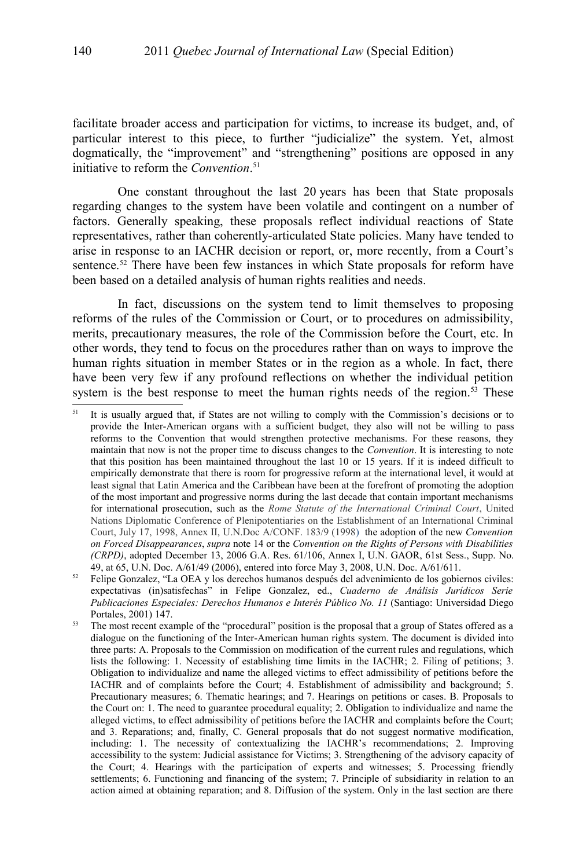facilitate broader access and participation for victims, to increase its budget, and, of particular interest to this piece, to further "judicialize" the system. Yet, almost dogmatically, the "improvement" and "strengthening" positions are opposed in any initiative to reform the *Convention*. [51](#page-13-0)

One constant throughout the last 20 years has been that State proposals regarding changes to the system have been volatile and contingent on a number of factors. Generally speaking, these proposals reflect individual reactions of State representatives, rather than coherently-articulated State policies. Many have tended to arise in response to an IACHR decision or report, or, more recently, from a Court's sentence.<sup>[52](#page-13-1)</sup> There have been few instances in which State proposals for reform have been based on a detailed analysis of human rights realities and needs.

In fact, discussions on the system tend to limit themselves to proposing reforms of the rules of the Commission or Court, or to procedures on admissibility, merits, precautionary measures, the role of the Commission before the Court, etc. In other words, they tend to focus on the procedures rather than on ways to improve the human rights situation in member States or in the region as a whole. In fact, there have been very few if any profound reflections on whether the individual petition system is the best response to meet the human rights needs of the region.<sup>[53](#page-13-2)</sup> These

<span id="page-13-0"></span><sup>&</sup>lt;sup>51</sup> It is usually argued that, if States are not willing to comply with the Commission's decisions or to provide the Inter-American organs with a sufficient budget, they also will not be willing to pass reforms to the Convention that would strengthen protective mechanisms. For these reasons, they maintain that now is not the proper time to discuss changes to the *Convention*. It is interesting to note that this position has been maintained throughout the last 10 or 15 years. If it is indeed difficult to empirically demonstrate that there is room for progressive reform at the international level, it would at least signal that Latin America and the Caribbean have been at the forefront of promoting the adoption of the most important and progressive norms during the last decade that contain important mechanisms for international prosecution, such as the *Rome Statute of the International Criminal Court*, United Nations Diplomatic Conference of Plenipotentiaries on the Establishment of an International Criminal Court, July 17, 1998, Annex II, U.N.Doc A/CONF. 183/9 (1998) the adoption of the new *Convention on Forced Disappearances*, *supra* note [14](#page-5-2) or the *Convention on the Rights of Persons with Disabilities (CRPD)*, adopted December 13, 2006 G.A. Res. 61/106, Annex I, U.N. GAOR, 61st Sess., Supp. No. 49, at 65, U.N. Doc. A/61/49 (2006), entered into force May 3, 2008, U.N. Doc. A/61/611.

<span id="page-13-1"></span><sup>52</sup> Felipe Gonzalez, "La OEA y los derechos humanos después del advenimiento de los gobiernos civiles: expectativas (in)satisfechas" in Felipe Gonzalez, ed., *Cuaderno de Análisis Jurídicos Serie Publicaciones Especiales: Derechos Humanos e Interés Público No. 11* (Santiago: Universidad Diego Portales, 2001) 147.

<span id="page-13-2"></span><sup>&</sup>lt;sup>53</sup> The most recent example of the "procedural" position is the proposal that a group of States offered as a dialogue on the functioning of the Inter-American human rights system. The document is divided into three parts: A. Proposals to the Commission on modification of the current rules and regulations, which lists the following: 1. Necessity of establishing time limits in the IACHR; 2. Filing of petitions; 3. Obligation to individualize and name the alleged victims to effect admissibility of petitions before the IACHR and of complaints before the Court; 4. Establishment of admissibility and background; 5. Precautionary measures; 6. Thematic hearings; and 7. Hearings on petitions or cases. B. Proposals to the Court on: 1. The need to guarantee procedural equality; 2. Obligation to individualize and name the alleged victims, to effect admissibility of petitions before the IACHR and complaints before the Court; and 3. Reparations; and, finally, C. General proposals that do not suggest normative modification, including: 1. The necessity of contextualizing the IACHR's recommendations; 2. Improving accessibility to the system: Judicial assistance for Victims; 3. Strengthening of the advisory capacity of the Court; 4. Hearings with the participation of experts and witnesses; 5. Processing friendly settlements; 6. Functioning and financing of the system; 7. Principle of subsidiarity in relation to an action aimed at obtaining reparation; and 8. Diffusion of the system. Only in the last section are there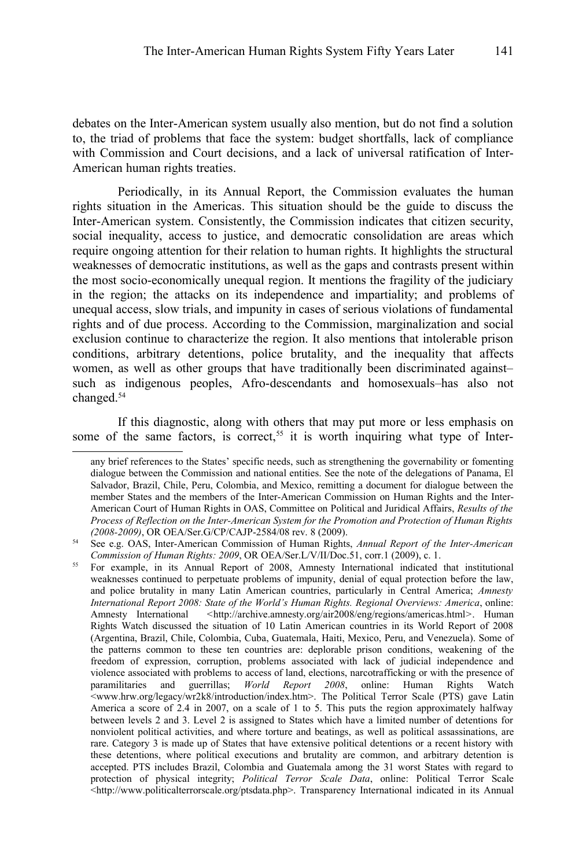debates on the Inter-American system usually also mention, but do not find a solution to, the triad of problems that face the system: budget shortfalls, lack of compliance with Commission and Court decisions, and a lack of universal ratification of Inter-American human rights treaties.

Periodically, in its Annual Report, the Commission evaluates the human rights situation in the Americas. This situation should be the guide to discuss the Inter-American system. Consistently, the Commission indicates that citizen security, social inequality, access to justice, and democratic consolidation are areas which require ongoing attention for their relation to human rights. It highlights the structural weaknesses of democratic institutions, as well as the gaps and contrasts present within the most socio-economically unequal region. It mentions the fragility of the judiciary in the region; the attacks on its independence and impartiality; and problems of unequal access, slow trials, and impunity in cases of serious violations of fundamental rights and of due process. According to the Commission, marginalization and social exclusion continue to characterize the region. It also mentions that intolerable prison conditions, arbitrary detentions, police brutality, and the inequality that affects women, as well as other groups that have traditionally been discriminated against– such as indigenous peoples, Afro-descendants and homosexuals–has also not changed.[54](#page-14-0)

If this diagnostic, along with others that may put more or less emphasis on some of the same factors, is correct,<sup>[55](#page-14-1)</sup> it is worth inquiring what type of Inter-

any brief references to the States' specific needs, such as strengthening the governability or fomenting dialogue between the Commission and national entities. See the note of the delegations of Panama, El Salvador, Brazil, Chile, Peru, Colombia, and Mexico, remitting a document for dialogue between the member States and the members of the Inter-American Commission on Human Rights and the Inter-American Court of Human Rights in OAS, Committee on Political and Juridical Affairs, *Results of the Process of Reflection on the Inter-American System for the Promotion and Protection of Human Rights (2008-2009)*, OR OEA/Ser.G/CP/CAJP-2584/08 rev. 8 (2009).

<span id="page-14-0"></span><sup>54</sup> See e.g. OAS, Inter-American Commission of Human Rights, *Annual Report of the Inter-American Commission of Human Rights: 2009*, OR OEA/Ser.L/V/II/Doc.51, corr.1 (2009), c. 1.

<span id="page-14-1"></span><sup>&</sup>lt;sup>55</sup> For example, in its Annual Report of 2008, Amnesty International indicated that institutional weaknesses continued to perpetuate problems of impunity, denial of equal protection before the law, and police brutality in many Latin American countries, particularly in Central America; *Amnesty International Report 2008: State of the World's Human Rights. Regional Overviews: America*, online: Amnesty International *<*http://archive.amnesty.org/air2008/eng/regions/americas.html*>*. Human Rights Watch discussed the situation of 10 Latin American countries in its World Report of 2008 (Argentina, Brazil, Chile, Colombia, Cuba, Guatemala, Haiti, Mexico, Peru, and Venezuela). Some of the patterns common to these ten countries are: deplorable prison conditions, weakening of the freedom of expression, corruption, problems associated with lack of judicial independence and violence associated with problems to access of land, elections, narcotrafficking or with the presence of paramilitaries and guerrillas; *World Report 2008*, online: Human Rights Watch <www.hrw.org/legacy/wr2k8/introduction/index.htm>. The Political Terror Scale (PTS) gave Latin America a score of 2.4 in 2007, on a scale of 1 to 5. This puts the region approximately halfway between levels 2 and 3. Level 2 is assigned to States which have a limited number of detentions for nonviolent political activities, and where torture and beatings, as well as political assassinations, are rare. Category 3 is made up of States that have extensive political detentions or a recent history with these detentions, where political executions and brutality are common, and arbitrary detention is accepted. PTS includes Brazil, Colombia and Guatemala among the 31 worst States with regard to protection of physical integrity; *Political Terror Scale Data*, online: Political Terror Scale <http://www.politicalterrorscale.org/ptsdata.php>. Transparency International indicated in its Annual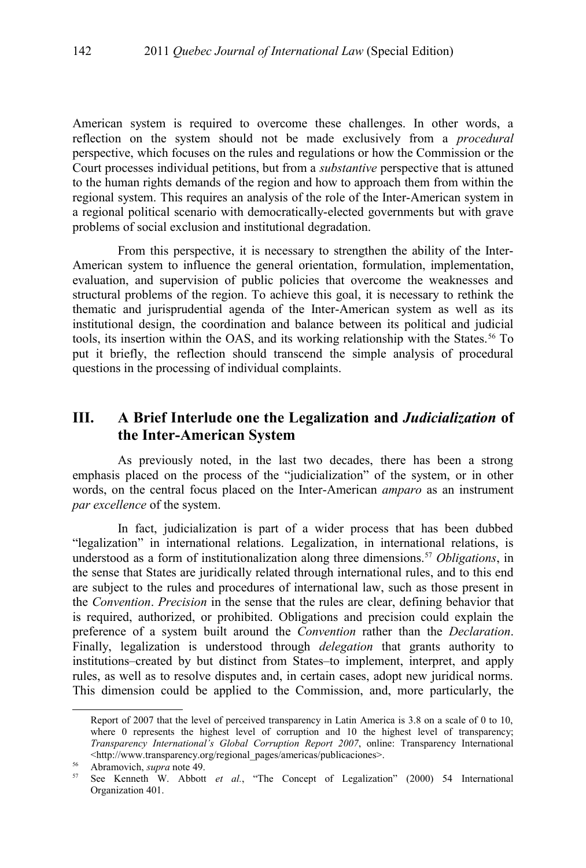American system is required to overcome these challenges. In other words, a reflection on the system should not be made exclusively from a *procedural* perspective, which focuses on the rules and regulations or how the Commission or the Court processes individual petitions, but from a *substantive* perspective that is attuned to the human rights demands of the region and how to approach them from within the regional system. This requires an analysis of the role of the Inter-American system in a regional political scenario with democratically-elected governments but with grave problems of social exclusion and institutional degradation.

From this perspective, it is necessary to strengthen the ability of the Inter-American system to influence the general orientation, formulation, implementation, evaluation, and supervision of public policies that overcome the weaknesses and structural problems of the region. To achieve this goal, it is necessary to rethink the thematic and jurisprudential agenda of the Inter-American system as well as its institutional design, the coordination and balance between its political and judicial tools, its insertion within the OAS, and its working relationship with the States.<sup>[56](#page-15-0)</sup> To put it briefly, the reflection should transcend the simple analysis of procedural questions in the processing of individual complaints.

# **III. A Brief Interlude one the Legalization and** *Judicialization* **of the Inter-American System**

As previously noted, in the last two decades, there has been a strong emphasis placed on the process of the "judicialization" of the system, or in other words, on the central focus placed on the Inter-American *amparo* as an instrument *par excellence* of the system.

In fact, judicialization is part of a wider process that has been dubbed "legalization" in international relations. Legalization, in international relations, is understood as a form of institutionalization along three dimensions.<sup>[57](#page-15-1)</sup> *Obligations*, in the sense that States are juridically related through international rules, and to this end are subject to the rules and procedures of international law, such as those present in the *Convention*. *Precision* in the sense that the rules are clear, defining behavior that is required, authorized, or prohibited. Obligations and precision could explain the preference of a system built around the *Convention* rather than the *Declaration*. Finally, legalization is understood through *delegation* that grants authority to institutions–created by but distinct from States–to implement, interpret, and apply rules, as well as to resolve disputes and, in certain cases, adopt new juridical norms. This dimension could be applied to the Commission, and, more particularly, the

Report of 2007 that the level of perceived transparency in Latin America is 3.8 on a scale of 0 to 10, where 0 represents the highest level of corruption and 10 the highest level of transparency; *Transparency International's Global Corruption Report 2007*, online: Transparency International <http://www.transparency.org/regional\_pages/americas/publicaciones>.

<span id="page-15-0"></span><sup>&</sup>lt;sup>56</sup> Abramovich, *supra* note [49.](#page-12-2)<br><sup>57</sup> See Kenneth W. Abbott

<span id="page-15-1"></span><sup>57</sup> See Kenneth W. Abbott *et al.*, "The Concept of Legalization" (2000) 54 International Organization 401.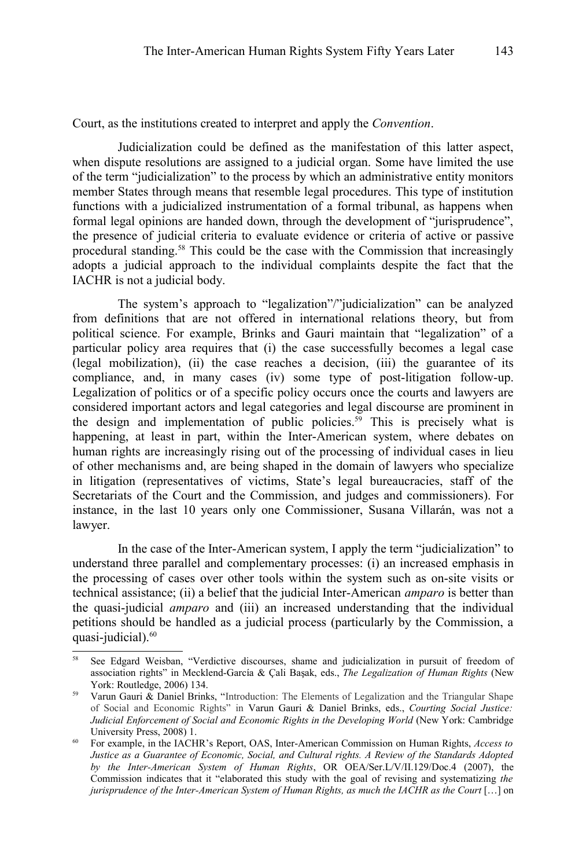Court, as the institutions created to interpret and apply the *Convention*.

Judicialization could be defined as the manifestation of this latter aspect, when dispute resolutions are assigned to a judicial organ. Some have limited the use of the term "judicialization" to the process by which an administrative entity monitors member States through means that resemble legal procedures. This type of institution functions with a judicialized instrumentation of a formal tribunal, as happens when formal legal opinions are handed down, through the development of "jurisprudence", the presence of judicial criteria to evaluate evidence or criteria of active or passive procedural standing.[58](#page-16-0) This could be the case with the Commission that increasingly adopts a judicial approach to the individual complaints despite the fact that the IACHR is not a judicial body.

The system's approach to "legalization"/"judicialization" can be analyzed from definitions that are not offered in international relations theory, but from political science. For example, Brinks and Gauri maintain that "legalization" of a particular policy area requires that (i) the case successfully becomes a legal case (legal mobilization), (ii) the case reaches a decision, (iii) the guarantee of its compliance, and, in many cases (iv) some type of post-litigation follow-up. Legalization of politics or of a specific policy occurs once the courts and lawyers are considered important actors and legal categories and legal discourse are prominent in the design and implementation of public policies.<sup>[59](#page-16-1)</sup> This is precisely what is happening, at least in part, within the Inter-American system, where debates on human rights are increasingly rising out of the processing of individual cases in lieu of other mechanisms and, are being shaped in the domain of lawyers who specialize in litigation (representatives of victims, State's legal bureaucracies, staff of the Secretariats of the Court and the Commission, and judges and commissioners). For instance, in the last 10 years only one Commissioner, Susana Villarán, was not a lawyer.

In the case of the Inter-American system, I apply the term "judicialization" to understand three parallel and complementary processes: (i) an increased emphasis in the processing of cases over other tools within the system such as on-site visits or technical assistance; (ii) a belief that the judicial Inter-American *amparo* is better than the quasi-judicial *amparo* and (iii) an increased understanding that the individual petitions should be handled as a judicial process (particularly by the Commission, a quasi-judicial).<sup>[60](#page-16-2)</sup>

<span id="page-16-0"></span><sup>58</sup> See Edgard Weisban, "Verdictive discourses, shame and judicialization in pursuit of freedom of association rights" in Mecklend-García & Çali Başak, eds., *The Legalization of Human Rights* (New York: Routledge, 2006) 134.

<span id="page-16-1"></span><sup>&</sup>lt;sup>59</sup> Varun Gauri & Daniel Brinks, "Introduction: The Elements of Legalization and the Triangular Shape of Social and Economic Rights" in Varun Gauri & Daniel Brinks, eds., *Courting Social Justice: Judicial Enforcement of Social and Economic Rights in the Developing World* (New York: Cambridge University Press, 2008) 1.

<span id="page-16-2"></span><sup>60</sup> For example, in the IACHR's Report, OAS, Inter-American Commission on Human Rights, *Access to Justice as a Guarantee of Economic, Social, and Cultural rights. A Review of the Standards Adopted by the Inter-American System of Human Rights*, OR OEA/Ser.L/V/II.129/Doc.4 (2007), the Commission indicates that it "elaborated this study with the goal of revising and systematizing *the jurisprudence of the Inter-American System of Human Rights, as much the IACHR as the Court* [...] on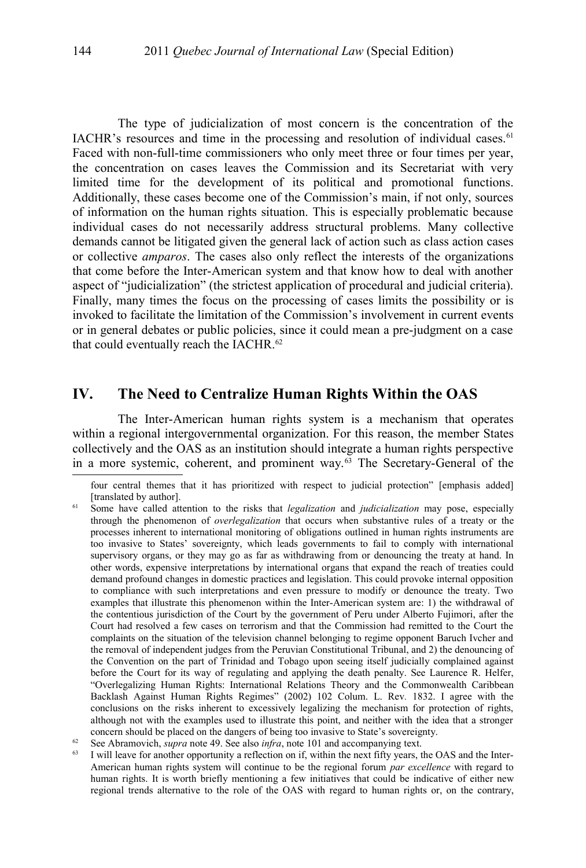The type of judicialization of most concern is the concentration of the IACHR's resources and time in the processing and resolution of individual cases. $61$ Faced with non-full-time commissioners who only meet three or four times per year, the concentration on cases leaves the Commission and its Secretariat with very limited time for the development of its political and promotional functions. Additionally, these cases become one of the Commission's main, if not only, sources of information on the human rights situation. This is especially problematic because individual cases do not necessarily address structural problems. Many collective demands cannot be litigated given the general lack of action such as class action cases or collective *amparos*. The cases also only reflect the interests of the organizations that come before the Inter-American system and that know how to deal with another aspect of "judicialization" (the strictest application of procedural and judicial criteria). Finally, many times the focus on the processing of cases limits the possibility or is invoked to facilitate the limitation of the Commission's involvement in current events or in general debates or public policies, since it could mean a pre-judgment on a case that could eventually reach the IACHR.<sup>[62](#page-17-1)</sup>

# **IV. The Need to Centralize Human Rights Within the OAS**

The Inter-American human rights system is a mechanism that operates within a regional intergovernmental organization. For this reason, the member States collectively and the OAS as an institution should integrate a human rights perspective in a more systemic, coherent, and prominent way.[63](#page-17-2) The Secretary-General of the

four central themes that it has prioritized with respect to judicial protection" [emphasis added] [translated by author].

<span id="page-17-0"></span><sup>61</sup> Some have called attention to the risks that *legalization* and *judicialization* may pose, especially through the phenomenon of *overlegalization* that occurs when substantive rules of a treaty or the processes inherent to international monitoring of obligations outlined in human rights instruments are too invasive to States' sovereignty, which leads governments to fail to comply with international supervisory organs, or they may go as far as withdrawing from or denouncing the treaty at hand. In other words, expensive interpretations by international organs that expand the reach of treaties could demand profound changes in domestic practices and legislation. This could provoke internal opposition to compliance with such interpretations and even pressure to modify or denounce the treaty. Two examples that illustrate this phenomenon within the Inter-American system are: 1) the withdrawal of the contentious jurisdiction of the Court by the government of Peru under Alberto Fujimori, after the Court had resolved a few cases on terrorism and that the Commission had remitted to the Court the complaints on the situation of the television channel belonging to regime opponent Baruch Ivcher and the removal of independent judges from the Peruvian Constitutional Tribunal, and 2) the denouncing of the Convention on the part of Trinidad and Tobago upon seeing itself judicially complained against before the Court for its way of regulating and applying the death penalty. See Laurence R. Helfer, "Overlegalizing Human Rights: International Relations Theory and the Commonwealth Caribbean Backlash Against Human Rights Regimes" (2002) 102 Colum. L. Rev*.* 1832. I agree with the conclusions on the risks inherent to excessively legalizing the mechanism for protection of rights, although not with the examples used to illustrate this point, and neither with the idea that a stronger concern should be placed on the dangers of being too invasive to State's sovereignty.

<span id="page-17-1"></span>Equal See Abramovich, *supra* note [49.](#page-12-2) See also *infra*, note [101](#page-32-0) and accompanying text.<br>  $\frac{63}{1}$  I will leave for another opportunity a reflection on if within the next fifty years to

<span id="page-17-2"></span>I will leave for another opportunity a reflection on if, within the next fifty years, the OAS and the Inter-American human rights system will continue to be the regional forum *par excellence* with regard to human rights. It is worth briefly mentioning a few initiatives that could be indicative of either new regional trends alternative to the role of the OAS with regard to human rights or, on the contrary,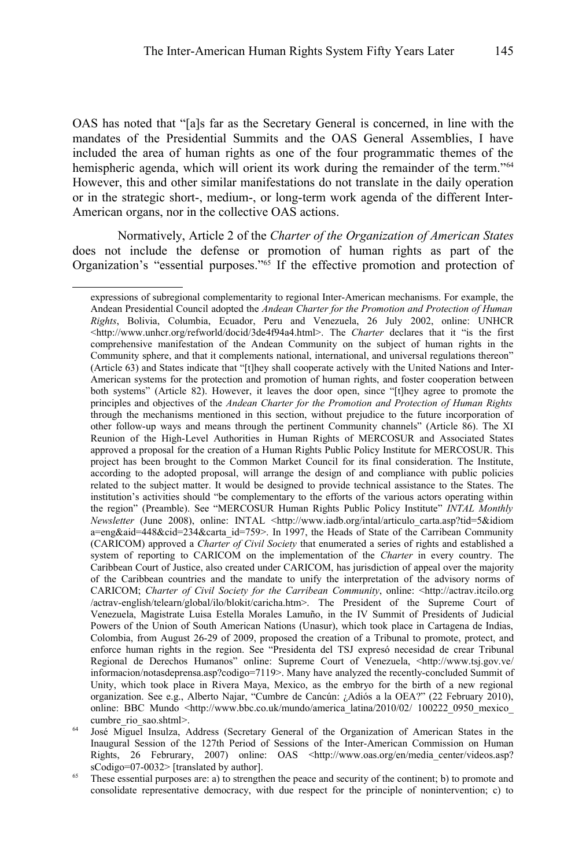OAS has noted that "[a]s far as the Secretary General is concerned, in line with the mandates of the Presidential Summits and the OAS General Assemblies, I have included the area of human rights as one of the four programmatic themes of the hemispheric agenda, which will orient its work during the remainder of the term."<sup>[64](#page-18-0)</sup> However, this and other similar manifestations do not translate in the daily operation or in the strategic short-, medium-, or long-term work agenda of the different Inter-American organs, nor in the collective OAS actions.

Normatively, Article 2 of the *Charter of the Organization of American States* does not include the defense or promotion of human rights as part of the Organization's "essential purposes."<sup>[65](#page-18-1)</sup> If the effective promotion and protection of

expressions of subregional complementarity to regional Inter-American mechanisms. For example, the Andean Presidential Council adopted the *Andean Charter for the Promotion and Protection of Human Rights*, Bolivia, Columbia, Ecuador, Peru and Venezuela, 26 July 2002, online: UNHCR <http://www.unhcr.org/refworld/docid/3de4f94a4.html>. The *Charter* declares that it "is the first comprehensive manifestation of the Andean Community on the subject of human rights in the Community sphere, and that it complements national, international, and universal regulations thereon" (Article 63) and States indicate that "[t]hey shall cooperate actively with the United Nations and Inter-American systems for the protection and promotion of human rights, and foster cooperation between both systems" (Article 82). However, it leaves the door open, since "[t]hey agree to promote the principles and objectives of the *Andean Charter for the Promotion and Protection of Human Rights* through the mechanisms mentioned in this section, without prejudice to the future incorporation of other follow-up ways and means through the pertinent Community channels" (Article 86). The XI Reunion of the High-Level Authorities in Human Rights of MERCOSUR and Associated States approved a proposal for the creation of a Human Rights Public Policy Institute for MERCOSUR. This project has been brought to the Common Market Council for its final consideration. The Institute, according to the adopted proposal, will arrange the design of and compliance with public policies related to the subject matter. It would be designed to provide technical assistance to the States. The institution's activities should "be complementary to the efforts of the various actors operating within the region" (Preamble). See "MERCOSUR Human Rights Public Policy Institute" *INTAL Monthly Newsletter* (June 2008), online: INTAL <http://www.iadb.org/intal/articulo\_carta.asp?tid=5&idiom a=eng&aid=448&cid=234&carta\_id=759>. In 1997, the Heads of State of the Carribean Community (CARICOM) approved a *Charter of Civil Society* that enumerated a series of rights and established a system of reporting to CARICOM on the implementation of the *Charter* in every country. The Caribbean Court of Justice, also created under CARICOM, has jurisdiction of appeal over the majority of the Caribbean countries and the mandate to unify the interpretation of the advisory norms of CARICOM; *Charter of Civil Society for the Carribean Community*, online: <http://actrav.itcilo.org /actrav-english/telearn/global/ilo/blokit/caricha.htm>. The President of the Supreme Court of Venezuela, Magistrate Luisa Estella Morales Lamuño, in the IV Summit of Presidents of Judicial Powers of the Union of South American Nations (Unasur), which took place in Cartagena de Indias, Colombia, from August 26-29 of 2009, proposed the creation of a Tribunal to promote, protect, and enforce human rights in the region. See "Presidenta del TSJ expresó necesidad de crear Tribunal Regional de Derechos Humanos" online: Supreme Court of Venezuela, <http://www.tsj.gov.ve/ informacion/notasdeprensa.asp?codigo=7119>. Many have analyzed the recently-concluded Summit of Unity, which took place in Rivera Maya, Mexico, as the embryo for the birth of a new regional organization. See e.g., Alberto Najar, "Cumbre de Cancún: ¿Adiós a la OEA?" (22 February 2010), online: BBC Mundo <http://www.bbc.co.uk/mundo/america\_latina/2010/02/ 100222\_0950\_mexico cumbre rio sao.shtml>.

<span id="page-18-0"></span><sup>64</sup> José Miguel Insulza, Address (Secretary General of the Organization of American States in the Inaugural Session of the 127th Period of Sessions of the Inter-American Commission on Human Rights, 26 Februrary, 2007) online: OAS <http://www.oas.org/en/media\_center/videos.asp? sCodigo=07-0032> [translated by author].

<span id="page-18-1"></span><sup>&</sup>lt;sup>65</sup> These essential purposes are: a) to strengthen the peace and security of the continent; b) to promote and consolidate representative democracy, with due respect for the principle of nonintervention; c) to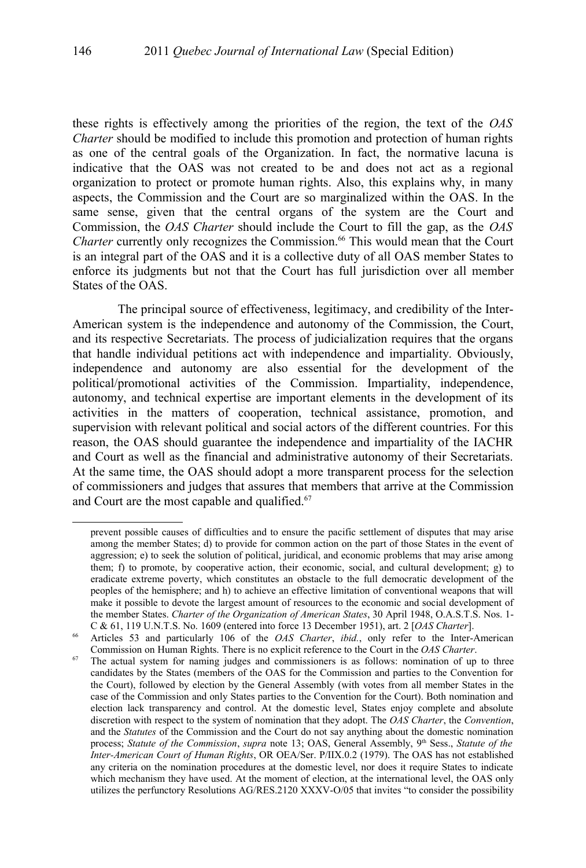these rights is effectively among the priorities of the region, the text of the *OAS Charter* should be modified to include this promotion and protection of human rights as one of the central goals of the Organization. In fact, the normative lacuna is indicative that the OAS was not created to be and does not act as a regional organization to protect or promote human rights. Also, this explains why, in many aspects, the Commission and the Court are so marginalized within the OAS. In the same sense, given that the central organs of the system are the Court and Commission, the *OAS Charter* should include the Court to fill the gap, as the *OAS Charter* currently only recognizes the Commission.<sup>[66](#page-19-0)</sup> This would mean that the Court is an integral part of the OAS and it is a collective duty of all OAS member States to enforce its judgments but not that the Court has full jurisdiction over all member States of the OAS.

The principal source of effectiveness, legitimacy, and credibility of the Inter-American system is the independence and autonomy of the Commission, the Court, and its respective Secretariats. The process of judicialization requires that the organs that handle individual petitions act with independence and impartiality. Obviously, independence and autonomy are also essential for the development of the political/promotional activities of the Commission. Impartiality, independence, autonomy, and technical expertise are important elements in the development of its activities in the matters of cooperation, technical assistance, promotion, and supervision with relevant political and social actors of the different countries. For this reason, the OAS should guarantee the independence and impartiality of the IACHR and Court as well as the financial and administrative autonomy of their Secretariats. At the same time, the OAS should adopt a more transparent process for the selection of commissioners and judges that assures that members that arrive at the Commission and Court are the most capable and qualified.<sup>[67](#page-19-1)</sup>

prevent possible causes of difficulties and to ensure the pacific settlement of disputes that may arise among the member States; d) to provide for common action on the part of those States in the event of aggression; e) to seek the solution of political, juridical, and economic problems that may arise among them; f) to promote, by cooperative action, their economic, social, and cultural development; g) to eradicate extreme poverty, which constitutes an obstacle to the full democratic development of the peoples of the hemisphere; and h) to achieve an effective limitation of conventional weapons that will make it possible to devote the largest amount of resources to the economic and social development of the member States. *Charter of the Organization of American States*, 30 April 1948, O.A.S.T.S. Nos. 1- C & 61, 119 U.N.T.S. No. 1609 (entered into force 13 December 1951), art. 2 [*OAS Charter*].

<span id="page-19-0"></span><sup>66</sup> Articles 53 and particularly 106 of the *OAS Charter*, *ibid.*, only refer to the Inter-American Commission on Human Rights. There is no explicit reference to the Court in the *OAS Charter*.

<span id="page-19-1"></span> $67$  The actual system for naming judges and commissioners is as follows: nomination of up to three candidates by the States (members of the OAS for the Commission and parties to the Convention for the Court), followed by election by the General Assembly (with votes from all member States in the case of the Commission and only States parties to the Convention for the Court). Both nomination and election lack transparency and control. At the domestic level, States enjoy complete and absolute discretion with respect to the system of nomination that they adopt. The *OAS Charter*, the *Convention*, and the *Statutes* of the Commission and the Court do not say anything about the domestic nomination process; *Statute of the Commission*, *supra* note [13;](#page-5-1) OAS, General Assembly, 9<sup>th</sup> Sess., *Statute of the Inter-American Court of Human Rights*, OR OEA/Ser. P/IIX.0.2 (1979). The OAS has not established any criteria on the nomination procedures at the domestic level, nor does it require States to indicate which mechanism they have used. At the moment of election, at the international level, the OAS only utilizes the perfunctory Resolutions AG/RES.2120 XXXV-O/05 that invites "to consider the possibility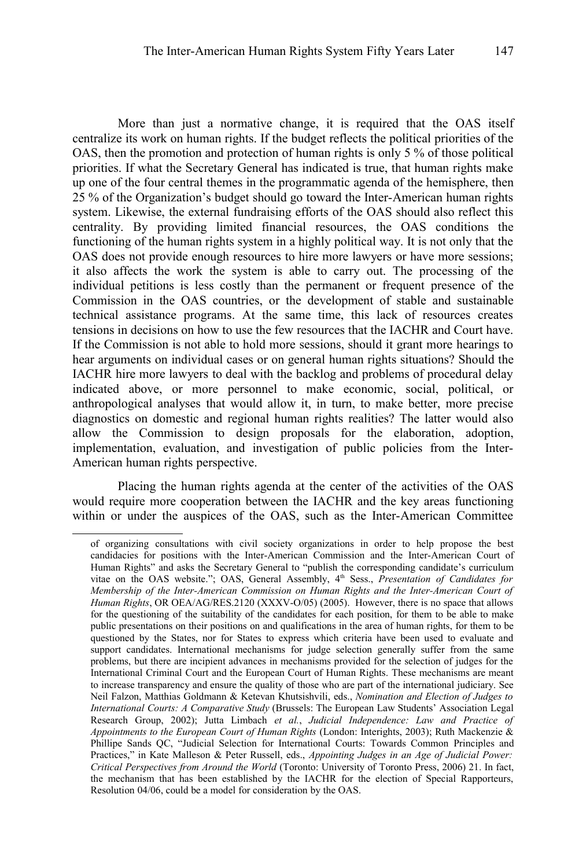More than just a normative change, it is required that the OAS itself centralize its work on human rights. If the budget reflects the political priorities of the OAS, then the promotion and protection of human rights is only 5 % of those political priorities. If what the Secretary General has indicated is true, that human rights make up one of the four central themes in the programmatic agenda of the hemisphere, then 25 % of the Organization's budget should go toward the Inter-American human rights system. Likewise, the external fundraising efforts of the OAS should also reflect this centrality. By providing limited financial resources, the OAS conditions the functioning of the human rights system in a highly political way. It is not only that the OAS does not provide enough resources to hire more lawyers or have more sessions; it also affects the work the system is able to carry out. The processing of the individual petitions is less costly than the permanent or frequent presence of the Commission in the OAS countries, or the development of stable and sustainable technical assistance programs. At the same time, this lack of resources creates tensions in decisions on how to use the few resources that the IACHR and Court have. If the Commission is not able to hold more sessions, should it grant more hearings to hear arguments on individual cases or on general human rights situations? Should the IACHR hire more lawyers to deal with the backlog and problems of procedural delay indicated above, or more personnel to make economic, social, political, or anthropological analyses that would allow it, in turn, to make better, more precise diagnostics on domestic and regional human rights realities? The latter would also allow the Commission to design proposals for the elaboration, adoption, implementation, evaluation, and investigation of public policies from the Inter-American human rights perspective.

Placing the human rights agenda at the center of the activities of the OAS would require more cooperation between the IACHR and the key areas functioning within or under the auspices of the OAS, such as the Inter-American Committee

of organizing consultations with civil society organizations in order to help propose the best candidacies for positions with the Inter-American Commission and the Inter-American Court of Human Rights" and asks the Secretary General to "publish the corresponding candidate's curriculum vitae on the OAS website."; OAS, General Assembly, 4th Sess., *Presentation of Candidates for Membership of the Inter-American Commission on Human Rights and the Inter-American Court of Human Rights*, OR OEA/AG/RES.2120 (XXXV-O/05) (2005). However, there is no space that allows for the questioning of the suitability of the candidates for each position, for them to be able to make public presentations on their positions on and qualifications in the area of human rights, for them to be questioned by the States, nor for States to express which criteria have been used to evaluate and support candidates. International mechanisms for judge selection generally suffer from the same problems, but there are incipient advances in mechanisms provided for the selection of judges for the International Criminal Court and the European Court of Human Rights. These mechanisms are meant to increase transparency and ensure the quality of those who are part of the international judiciary. See Neil Falzon, Matthias Goldmann & Ketevan Khutsishvili, eds., *Nomination and Election of Judges to International Courts: A Comparative Study* (Brussels: The European Law Students' Association Legal Research Group, 2002); Jutta Limbach *et al.*, *Judicial Independence: Law and Practice of Appointments to the European Court of Human Rights* (London: Interights, 2003); Ruth Mackenzie & Phillipe Sands QC, "Judicial Selection for International Courts: Towards Common Principles and Practices," in Kate Malleson & Peter Russell, eds., *Appointing Judges in an Age of Judicial Power: Critical Perspectives from Around the World* (Toronto: University of Toronto Press, 2006) 21. In fact, the mechanism that has been established by the IACHR for the election of Special Rapporteurs, Resolution 04/06, could be a model for consideration by the OAS.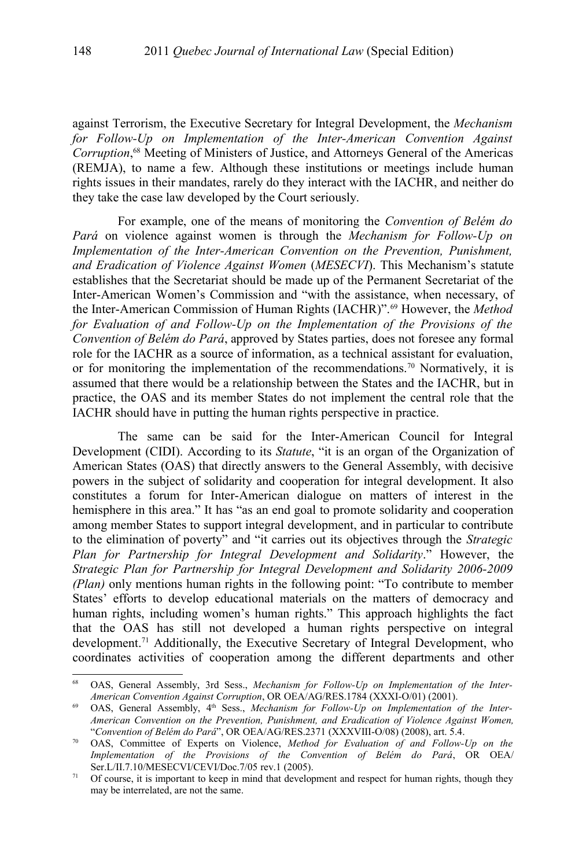against Terrorism, the Executive Secretary for Integral Development, the *Mechanism for Follow-Up on Implementation of the Inter-American Convention Against Corruption*, [68](#page-21-0) Meeting of Ministers of Justice, and Attorneys General of the Americas (REMJA), to name a few. Although these institutions or meetings include human rights issues in their mandates, rarely do they interact with the IACHR, and neither do they take the case law developed by the Court seriously.

For example, one of the means of monitoring the *Convention of Belém do Pará* on violence against women is through the *Mechanism for Follow-Up on Implementation of the Inter-American Convention on the Prevention, Punishment, and Eradication of Violence Against Women* (*MESECVI*). This Mechanism's statute establishes that the Secretariat should be made up of the Permanent Secretariat of the Inter-American Women's Commission and "with the assistance, when necessary, of the Inter-American Commission of Human Rights (IACHR)".<sup>[69](#page-21-1)</sup> However, the *Method for Evaluation of and Follow-Up on the Implementation of the Provisions of the Convention of Belém do Pará*, approved by States parties, does not foresee any formal role for the IACHR as a source of information, as a technical assistant for evaluation, or for monitoring the implementation of the recommendations.<sup>[70](#page-21-2)</sup> Normatively, it is assumed that there would be a relationship between the States and the IACHR, but in practice, the OAS and its member States do not implement the central role that the IACHR should have in putting the human rights perspective in practice.

The same can be said for the Inter-American Council for Integral Development (CIDI). According to its *Statute*, "it is an organ of the Organization of American States (OAS) that directly answers to the General Assembly, with decisive powers in the subject of solidarity and cooperation for integral development. It also constitutes a forum for Inter-American dialogue on matters of interest in the hemisphere in this area." It has "as an end goal to promote solidarity and cooperation among member States to support integral development, and in particular to contribute to the elimination of poverty" and "it carries out its objectives through the *Strategic Plan for Partnership for Integral Development and Solidarity*." However, the *Strategic Plan for Partnership for Integral Development and Solidarity 2006-2009 (Plan)* only mentions human rights in the following point: "To contribute to member States' efforts to develop educational materials on the matters of democracy and human rights, including women's human rights." This approach highlights the fact that the OAS has still not developed a human rights perspective on integral development.[71](#page-21-3) Additionally, the Executive Secretary of Integral Development, who coordinates activities of cooperation among the different departments and other

<span id="page-21-0"></span><sup>68</sup> OAS, General Assembly, 3rd Sess., *Mechanism for Follow-Up on Implementation of the Inter-American Convention Against Corruption*, OR OEA/AG/RES.1784 (XXXI-O/01) (2001).

<span id="page-21-1"></span><sup>&</sup>lt;sup>69</sup> OAS, General Assembly, 4<sup>th</sup> Sess., *Mechanism for Follow-Up on Implementation of the Inter-American Convention on the Prevention, Punishment, and Eradication of Violence Against Women,* "*Convention of Belém do Pará*", OR OEA/AG/RES.2371 (XXXVIII-O/08) (2008), art. 5.4.

<span id="page-21-2"></span><sup>70</sup> OAS, Committee of Experts on Violence, *Method for Evaluation of and Follow-Up on the Implementation of the Provisions of the Convention of Belém do Pará*, OR OEA/ Ser.L/II.7.10/MESECVI/CEVI/Doc.7/05 rev.1 (2005).

<span id="page-21-3"></span> $71$  Of course, it is important to keep in mind that development and respect for human rights, though they may be interrelated, are not the same.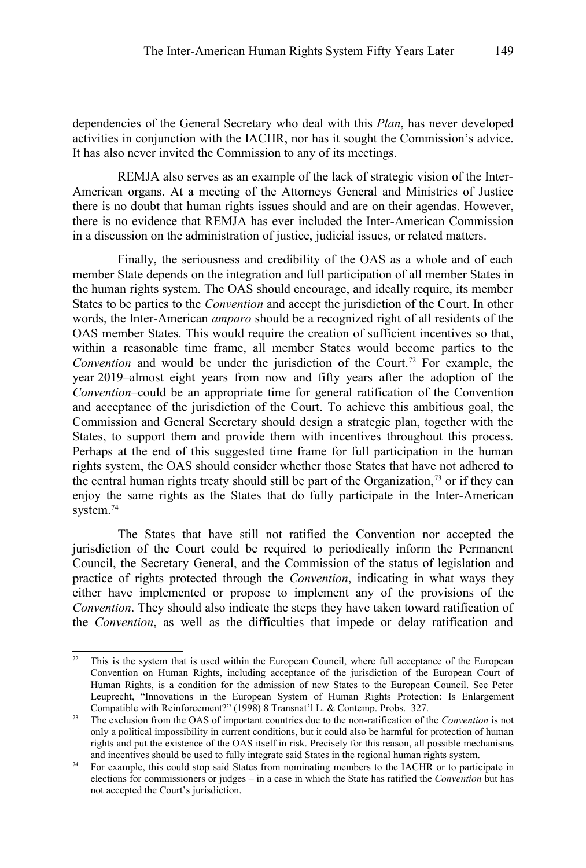dependencies of the General Secretary who deal with this *Plan*, has never developed activities in conjunction with the IACHR, nor has it sought the Commission's advice. It has also never invited the Commission to any of its meetings.

REMJA also serves as an example of the lack of strategic vision of the Inter-American organs. At a meeting of the Attorneys General and Ministries of Justice there is no doubt that human rights issues should and are on their agendas. However, there is no evidence that REMJA has ever included the Inter-American Commission in a discussion on the administration of justice, judicial issues, or related matters.

Finally, the seriousness and credibility of the OAS as a whole and of each member State depends on the integration and full participation of all member States in the human rights system. The OAS should encourage, and ideally require, its member States to be parties to the *Convention* and accept the jurisdiction of the Court. In other words, the Inter-American *amparo* should be a recognized right of all residents of the OAS member States. This would require the creation of sufficient incentives so that, within a reasonable time frame, all member States would become parties to the *Convention* and would be under the jurisdiction of the Court.<sup>[72](#page-22-0)</sup> For example, the year 2019–almost eight years from now and fifty years after the adoption of the *Convention*–could be an appropriate time for general ratification of the Convention and acceptance of the jurisdiction of the Court. To achieve this ambitious goal, the Commission and General Secretary should design a strategic plan, together with the States, to support them and provide them with incentives throughout this process. Perhaps at the end of this suggested time frame for full participation in the human rights system, the OAS should consider whether those States that have not adhered to the central human rights treaty should still be part of the Organization,<sup>[73](#page-22-1)</sup> or if they can enjoy the same rights as the States that do fully participate in the Inter-American system.<sup>[74](#page-22-2)</sup>

The States that have still not ratified the Convention nor accepted the jurisdiction of the Court could be required to periodically inform the Permanent Council, the Secretary General, and the Commission of the status of legislation and practice of rights protected through the *Convention*, indicating in what ways they either have implemented or propose to implement any of the provisions of the *Convention*. They should also indicate the steps they have taken toward ratification of the *Convention*, as well as the difficulties that impede or delay ratification and

<span id="page-22-0"></span> $72$  This is the system that is used within the European Council, where full acceptance of the European Convention on Human Rights, including acceptance of the jurisdiction of the European Court of Human Rights, is a condition for the admission of new States to the European Council. See Peter Leuprecht, "Innovations in the European System of Human Rights Protection: Is Enlargement Compatible with Reinforcement?" (1998) 8 Transnat'l L. & Contemp. Probs. 327.

<span id="page-22-1"></span><sup>73</sup> The exclusion from the OAS of important countries due to the non-ratification of the *Convention* is not only a political impossibility in current conditions, but it could also be harmful for protection of human rights and put the existence of the OAS itself in risk. Precisely for this reason, all possible mechanisms and incentives should be used to fully integrate said States in the regional human rights system.

<span id="page-22-2"></span><sup>&</sup>lt;sup>74</sup> For example, this could stop said States from nominating members to the IACHR or to participate in elections for commissioners or judges – in a case in which the State has ratified the *Convention* but has not accepted the Court's jurisdiction.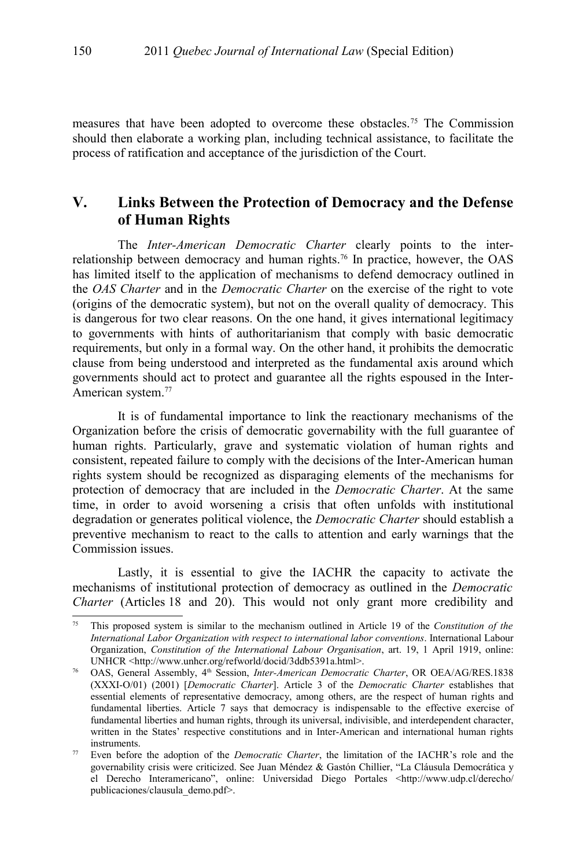measures that have been adopted to overcome these obstacles.[75](#page-23-0) The Commission should then elaborate a working plan, including technical assistance, to facilitate the process of ratification and acceptance of the jurisdiction of the Court.

## **V. Links Between the Protection of Democracy and the Defense of Human Rights**

The *Inter-American Democratic Charter* clearly points to the inter-relationship between democracy and human rights.<sup>[76](#page-23-1)</sup> In practice, however, the OAS has limited itself to the application of mechanisms to defend democracy outlined in the *OAS Charter* and in the *Democratic Charter* on the exercise of the right to vote (origins of the democratic system), but not on the overall quality of democracy. This is dangerous for two clear reasons. On the one hand, it gives international legitimacy to governments with hints of authoritarianism that comply with basic democratic requirements, but only in a formal way. On the other hand, it prohibits the democratic clause from being understood and interpreted as the fundamental axis around which governments should act to protect and guarantee all the rights espoused in the Inter-American system.<sup>[77](#page-23-2)</sup>

It is of fundamental importance to link the reactionary mechanisms of the Organization before the crisis of democratic governability with the full guarantee of human rights. Particularly, grave and systematic violation of human rights and consistent, repeated failure to comply with the decisions of the Inter-American human rights system should be recognized as disparaging elements of the mechanisms for protection of democracy that are included in the *Democratic Charter*. At the same time, in order to avoid worsening a crisis that often unfolds with institutional degradation or generates political violence, the *Democratic Charter* should establish a preventive mechanism to react to the calls to attention and early warnings that the Commission issues.

Lastly, it is essential to give the IACHR the capacity to activate the mechanisms of institutional protection of democracy as outlined in the *Democratic Charter* (Articles 18 and 20). This would not only grant more credibility and

<span id="page-23-0"></span><sup>75</sup> This proposed system is similar to the mechanism outlined in Article 19 of the *Constitution of the International Labor Organization with respect to international labor conventions*. International Labour Organization, *Constitution of the International Labour Organisation*, art. 19, 1 April 1919, online: UNHCR <http://www.unhcr.org/refworld/docid/3ddb5391a.html>.

<span id="page-23-1"></span><sup>76</sup> OAS, General Assembly, 4th Session, *Inter-American Democratic Charter*, OR OEA/AG/RES.1838 (XXXI-O/01) (2001) [*Democratic Charter*]. Article 3 of the *Democratic Charter* establishes that essential elements of representative democracy, among others, are the respect of human rights and fundamental liberties. Article 7 says that democracy is indispensable to the effective exercise of fundamental liberties and human rights, through its universal, indivisible, and interdependent character, written in the States' respective constitutions and in Inter-American and international human rights instruments.

<span id="page-23-2"></span><sup>&</sup>lt;sup>77</sup> Even before the adoption of the *Democratic Charter*, the limitation of the IACHR's role and the governability crisis were criticized. See Juan Méndez & Gastón Chillier, "La Cláusula Democrática y el Derecho Interamericano", online: Universidad Diego Portales <http://www.udp.cl/derecho/ publicaciones/clausula\_demo.pdf>.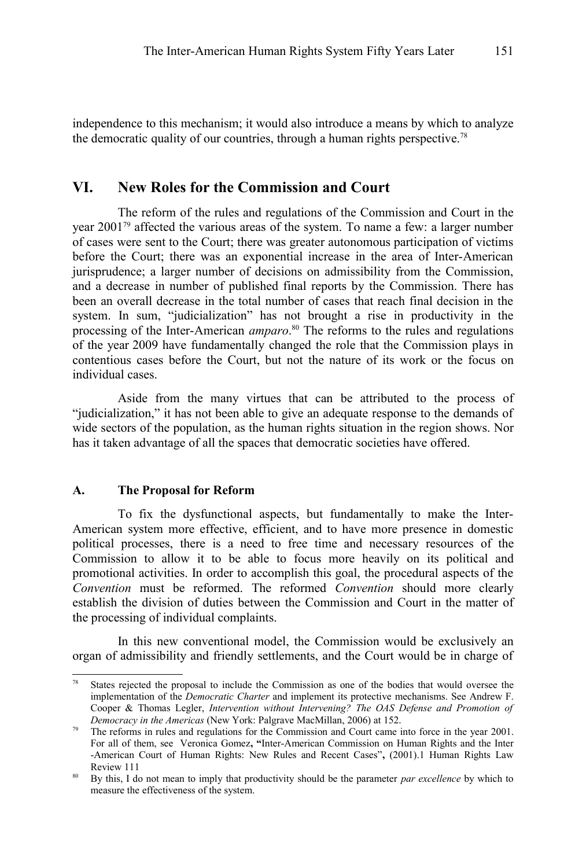independence to this mechanism; it would also introduce a means by which to analyze the democratic quality of our countries, through a human rights perspective.[78](#page-24-0)

## **VI. New Roles for the Commission and Court**

The reform of the rules and regulations of the Commission and Court in the year 2001[79](#page-24-1) affected the various areas of the system. To name a few: a larger number of cases were sent to the Court; there was greater autonomous participation of victims before the Court; there was an exponential increase in the area of Inter-American jurisprudence; a larger number of decisions on admissibility from the Commission, and a decrease in number of published final reports by the Commission. There has been an overall decrease in the total number of cases that reach final decision in the system. In sum, "judicialization" has not brought a rise in productivity in the processing of the Inter-American *amparo*. [80](#page-24-2) The reforms to the rules and regulations of the year 2009 have fundamentally changed the role that the Commission plays in contentious cases before the Court, but not the nature of its work or the focus on individual cases.

Aside from the many virtues that can be attributed to the process of "judicialization," it has not been able to give an adequate response to the demands of wide sectors of the population, as the human rights situation in the region shows. Nor has it taken advantage of all the spaces that democratic societies have offered.

### **A. The Proposal for Reform**

To fix the dysfunctional aspects, but fundamentally to make the Inter-American system more effective, efficient, and to have more presence in domestic political processes, there is a need to free time and necessary resources of the Commission to allow it to be able to focus more heavily on its political and promotional activities. In order to accomplish this goal, the procedural aspects of the *Convention* must be reformed. The reformed *Convention* should more clearly establish the division of duties between the Commission and Court in the matter of the processing of individual complaints.

In this new conventional model, the Commission would be exclusively an organ of admissibility and friendly settlements, and the Court would be in charge of

<span id="page-24-0"></span>States rejected the proposal to include the Commission as one of the bodies that would oversee the implementation of the *Democratic Charter* and implement its protective mechanisms. See Andrew F. Cooper & Thomas Legler, *Intervention without Intervening? The OAS Defense and Promotion of Democracy in the Americas* (New York: Palgrave MacMillan, 2006) at 152.

<span id="page-24-1"></span><sup>79</sup> The reforms in rules and regulations for the Commission and Court came into force in the year 2001. For all of them, see Veronica Gomez**, "**Inter-American Commission on Human Rights and the Inter -American Court of Human Rights: New Rules and Recent Cases"**,** (2001).1 Human Rights Law Review 111

<span id="page-24-2"></span><sup>80</sup> By this, I do not mean to imply that productivity should be the parameter *par excellence* by which to measure the effectiveness of the system.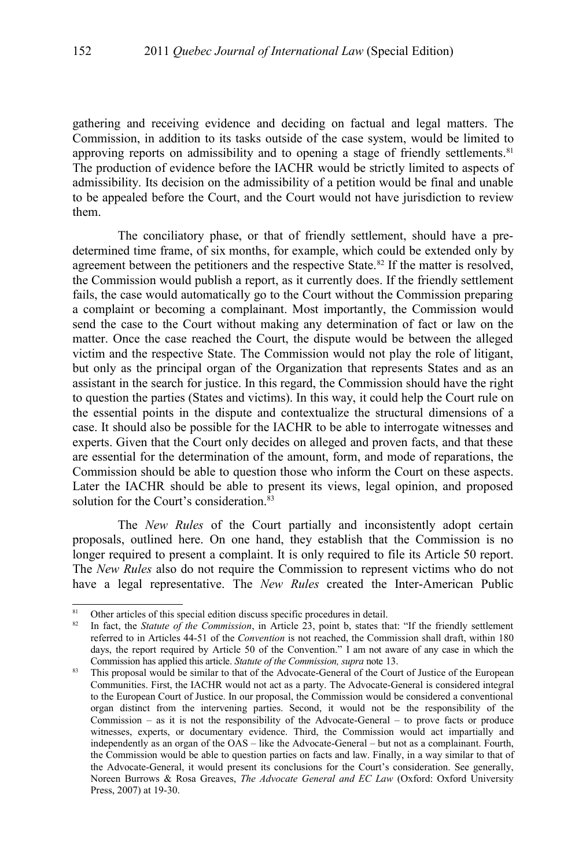gathering and receiving evidence and deciding on factual and legal matters. The Commission, in addition to its tasks outside of the case system, would be limited to approving reports on admissibility and to opening a stage of friendly settlements.<sup>[81](#page-25-0)</sup> The production of evidence before the IACHR would be strictly limited to aspects of admissibility. Its decision on the admissibility of a petition would be final and unable to be appealed before the Court, and the Court would not have jurisdiction to review them.

The conciliatory phase, or that of friendly settlement, should have a predetermined time frame, of six months, for example, which could be extended only by agreement between the petitioners and the respective State.<sup>[82](#page-25-1)</sup> If the matter is resolved, the Commission would publish a report, as it currently does. If the friendly settlement fails, the case would automatically go to the Court without the Commission preparing a complaint or becoming a complainant. Most importantly, the Commission would send the case to the Court without making any determination of fact or law on the matter. Once the case reached the Court, the dispute would be between the alleged victim and the respective State. The Commission would not play the role of litigant, but only as the principal organ of the Organization that represents States and as an assistant in the search for justice. In this regard, the Commission should have the right to question the parties (States and victims). In this way, it could help the Court rule on the essential points in the dispute and contextualize the structural dimensions of a case. It should also be possible for the IACHR to be able to interrogate witnesses and experts. Given that the Court only decides on alleged and proven facts, and that these are essential for the determination of the amount, form, and mode of reparations, the Commission should be able to question those who inform the Court on these aspects. Later the IACHR should be able to present its views, legal opinion, and proposed solution for the Court's consideration.<sup>[83](#page-25-2)</sup>

The *New Rules* of the Court partially and inconsistently adopt certain proposals, outlined here. On one hand, they establish that the Commission is no longer required to present a complaint. It is only required to file its Article 50 report. The *New Rules* also do not require the Commission to represent victims who do not have a legal representative. The *New Rules* created the Inter-American Public

<span id="page-25-0"></span><sup>&</sup>lt;sup>81</sup> Other articles of this special edition discuss specific procedures in detail.<br><sup>82</sup> In fact, the *Statute of the Commission* in Article 23, point h, states the

<span id="page-25-1"></span><sup>82</sup> In fact, the *Statute of the Commission*, in Article 23, point b, states that: "If the friendly settlement referred to in Articles 44-51 of the *Convention* is not reached, the Commission shall draft, within 180 days, the report required by Article 50 of the Convention." I am not aware of any case in which the Commission has applied this article. *Statute of the Commission, supra* note [13.](#page-5-1)

<span id="page-25-2"></span><sup>&</sup>lt;sup>83</sup> This proposal would be similar to that of the Advocate-General of the Court of Justice of the European Communities. First, the IACHR would not act as a party. The Advocate-General is considered integral to the European Court of Justice. In our proposal, the Commission would be considered a conventional organ distinct from the intervening parties. Second, it would not be the responsibility of the Commission – as it is not the responsibility of the Advocate-General – to prove facts or produce witnesses, experts, or documentary evidence. Third, the Commission would act impartially and independently as an organ of the OAS – like the Advocate-General – but not as a complainant. Fourth, the Commission would be able to question parties on facts and law. Finally, in a way similar to that of the Advocate-General, it would present its conclusions for the Court's consideration. See generally, Noreen Burrows & Rosa Greaves, *The Advocate General and EC Law* (Oxford: Oxford University Press, 2007) at 19-30.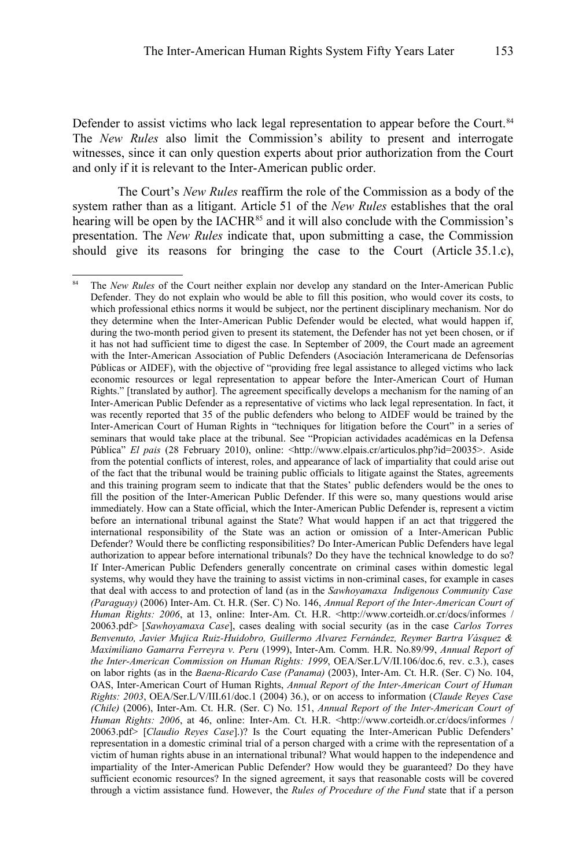Defender to assist victims who lack legal representation to appear before the Court.<sup>[84](#page-26-0)</sup> The *New Rules* also limit the Commission's ability to present and interrogate witnesses, since it can only question experts about prior authorization from the Court and only if it is relevant to the Inter-American public order.

The Court's *New Rules* reaffirm the role of the Commission as a body of the system rather than as a litigant. Article 51 of the *New Rules* establishes that the oral hearing will be open by the IACHR<sup>[85](#page-27-0)</sup> and it will also conclude with the Commission's presentation. The *New Rules* indicate that, upon submitting a case, the Commission should give its reasons for bringing the case to the Court (Article 35.1.c),

<span id="page-26-0"></span>The *New Rules* of the Court neither explain nor develop any standard on the Inter-American Public Defender. They do not explain who would be able to fill this position, who would cover its costs, to which professional ethics norms it would be subject, nor the pertinent disciplinary mechanism. Nor do they determine when the Inter-American Public Defender would be elected, what would happen if, during the two-month period given to present its statement, the Defender has not yet been chosen, or if it has not had sufficient time to digest the case. In September of 2009, the Court made an agreement with the Inter-American Association of Public Defenders (Asociación Interamericana de Defensorías Públicas or AIDEF), with the objective of "providing free legal assistance to alleged victims who lack economic resources or legal representation to appear before the Inter-American Court of Human Rights." [translated by author]. The agreement specifically develops a mechanism for the naming of an Inter-American Public Defender as a representative of victims who lack legal representation. In fact, it was recently reported that 35 of the public defenders who belong to AIDEF would be trained by the Inter-American Court of Human Rights in "techniques for litigation before the Court" in a series of seminars that would take place at the tribunal. See "Propician actividades académicas en la Defensa Pública" *El pais* (28 February 2010), online: <http://www.elpais.cr/articulos.php?id=20035>. Aside from the potential conflicts of interest, roles, and appearance of lack of impartiality that could arise out of the fact that the tribunal would be training public officials to litigate against the States, agreements and this training program seem to indicate that that the States' public defenders would be the ones to fill the position of the Inter-American Public Defender. If this were so, many questions would arise immediately. How can a State official, which the Inter-American Public Defender is, represent a victim before an international tribunal against the State? What would happen if an act that triggered the international responsibility of the State was an action or omission of a Inter-American Public Defender? Would there be conflicting responsibilities? Do Inter-American Public Defenders have legal authorization to appear before international tribunals? Do they have the technical knowledge to do so? If Inter-American Public Defenders generally concentrate on criminal cases within domestic legal systems, why would they have the training to assist victims in non-criminal cases, for example in cases that deal with access to and protection of land (as in the *Sawhoyamaxa Indigenous Community Case (Paraguay)* (2006) Inter-Am. Ct. H.R. (Ser. C) No. 146, *Annual Report of the Inter-American Court of Human Rights: 2006*, at 13, online: Inter-Am. Ct. H.R. <http://www.corteidh.or.cr/docs/informes / 20063.pdf> [*Sawhoyamaxa Case*], cases dealing with social security (as in the case *Carlos Torres Benvenuto, Javier Mujica Ruiz-Huidobro, Guillermo Alvarez Fernández, Reymer Bartra Vásquez & Maximiliano Gamarra Ferreyra v. Peru* (1999), Inter-Am. Comm. H.R. No.89/99, *Annual Report of the Inter-American Commission on Human Rights: 1999*, OEA/Ser.L/V/II.106/doc.6, rev. c.3.), cases on labor rights (as in the *Baena-Ricardo Case (Panama)* (2003), Inter-Am. Ct. H.R. (Ser. C) No. 104, OAS, Inter-American Court of Human Rights, *Annual Report of the Inter-American Court of Human Rights: 2003*, OEA/Ser.L/V/III.61/doc.1 (2004) 36.), or on access to information (*Claude Reyes Case (Chile)* (2006), Inter-Am. Ct. H.R. (Ser. C) No. 151, *Annual Report of the Inter-American Court of Human Rights: 2006*, at 46, online: Inter-Am. Ct. H.R. <http://www.corteidh.or.cr/docs/informes / 20063.pdf> [*Claudio Reyes Case*].)? Is the Court equating the Inter-American Public Defenders' representation in a domestic criminal trial of a person charged with a crime with the representation of a victim of human rights abuse in an international tribunal? What would happen to the independence and impartiality of the Inter-American Public Defender? How would they be guaranteed? Do they have sufficient economic resources? In the signed agreement, it says that reasonable costs will be covered through a victim assistance fund. However, the *Rules of Procedure of the Fund* state that if a person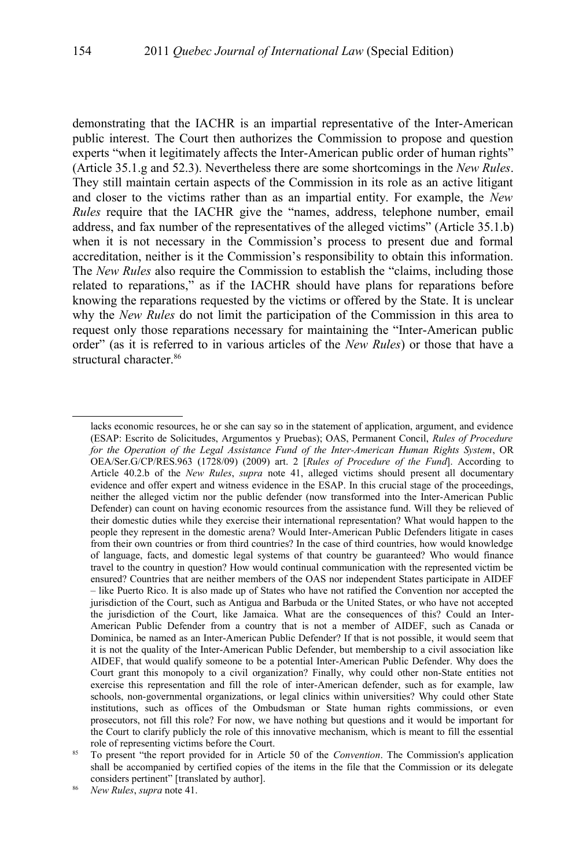demonstrating that the IACHR is an impartial representative of the Inter-American public interest. The Court then authorizes the Commission to propose and question experts "when it legitimately affects the Inter-American public order of human rights" (Article 35.1.g and 52.3). Nevertheless there are some shortcomings in the *New Rules*. They still maintain certain aspects of the Commission in its role as an active litigant and closer to the victims rather than as an impartial entity. For example, the *New Rules* require that the IACHR give the "names, address, telephone number, email address, and fax number of the representatives of the alleged victims" (Article 35.1.b) when it is not necessary in the Commission's process to present due and formal accreditation, neither is it the Commission's responsibility to obtain this information. The *New Rules* also require the Commission to establish the "claims, including those related to reparations," as if the IACHR should have plans for reparations before knowing the reparations requested by the victims or offered by the State. It is unclear why the *New Rules* do not limit the participation of the Commission in this area to request only those reparations necessary for maintaining the "Inter-American public order" (as it is referred to in various articles of the *New Rules*) or those that have a structural character.<sup>[86](#page-27-1)</sup>

<span id="page-27-1"></span><sup>86</sup> *New Rules*, *supra* note [41.](#page-10-3)

lacks economic resources, he or she can say so in the statement of application, argument, and evidence (ESAP: Escrito de Solicitudes, Argumentos y Pruebas); OAS, Permanent Concil, *Rules of Procedure for the Operation of the Legal Assistance Fund of the Inter-American Human Rights System*, OR OEA/Ser.G/CP/RES.963 (1728/09) (2009) art. 2 [*Rules of Procedure of the Fund*]. According to Article 40.2.b of the *New Rules*, *supra* note [41,](#page-10-3) alleged victims should present all documentary evidence and offer expert and witness evidence in the ESAP. In this crucial stage of the proceedings, neither the alleged victim nor the public defender (now transformed into the Inter-American Public Defender) can count on having economic resources from the assistance fund. Will they be relieved of their domestic duties while they exercise their international representation? What would happen to the people they represent in the domestic arena? Would Inter-American Public Defenders litigate in cases from their own countries or from third countries? In the case of third countries, how would knowledge of language, facts, and domestic legal systems of that country be guaranteed? Who would finance travel to the country in question? How would continual communication with the represented victim be ensured? Countries that are neither members of the OAS nor independent States participate in AIDEF – like Puerto Rico. It is also made up of States who have not ratified the Convention nor accepted the jurisdiction of the Court, such as Antigua and Barbuda or the United States, or who have not accepted the jurisdiction of the Court, like Jamaica. What are the consequences of this? Could an Inter-American Public Defender from a country that is not a member of AIDEF, such as Canada or Dominica, be named as an Inter-American Public Defender? If that is not possible, it would seem that it is not the quality of the Inter-American Public Defender, but membership to a civil association like AIDEF, that would qualify someone to be a potential Inter-American Public Defender. Why does the Court grant this monopoly to a civil organization? Finally, why could other non-State entities not exercise this representation and fill the role of inter-American defender, such as for example, law schools, non-governmental organizations, or legal clinics within universities? Why could other State institutions, such as offices of the Ombudsman or State human rights commissions, or even prosecutors, not fill this role? For now, we have nothing but questions and it would be important for the Court to clarify publicly the role of this innovative mechanism, which is meant to fill the essential role of representing victims before the Court.

<span id="page-27-0"></span><sup>85</sup> To present "the report provided for in Article 50 of the *Convention*. The Commission's application shall be accompanied by certified copies of the items in the file that the Commission or its delegate considers pertinent" [translated by author].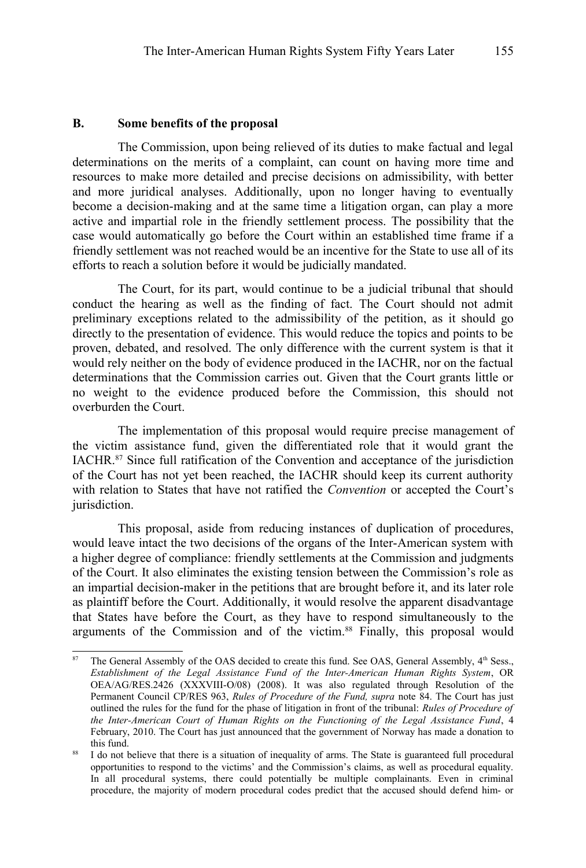#### **B. Some benefits of the proposal**

The Commission, upon being relieved of its duties to make factual and legal determinations on the merits of a complaint, can count on having more time and resources to make more detailed and precise decisions on admissibility, with better and more juridical analyses. Additionally, upon no longer having to eventually become a decision-making and at the same time a litigation organ, can play a more active and impartial role in the friendly settlement process. The possibility that the case would automatically go before the Court within an established time frame if a friendly settlement was not reached would be an incentive for the State to use all of its efforts to reach a solution before it would be judicially mandated.

The Court, for its part, would continue to be a judicial tribunal that should conduct the hearing as well as the finding of fact. The Court should not admit preliminary exceptions related to the admissibility of the petition, as it should go directly to the presentation of evidence. This would reduce the topics and points to be proven, debated, and resolved. The only difference with the current system is that it would rely neither on the body of evidence produced in the IACHR, nor on the factual determinations that the Commission carries out. Given that the Court grants little or no weight to the evidence produced before the Commission, this should not overburden the Court.

The implementation of this proposal would require precise management of the victim assistance fund, given the differentiated role that it would grant the IACHR.[87](#page-28-0) Since full ratification of the Convention and acceptance of the jurisdiction of the Court has not yet been reached, the IACHR should keep its current authority with relation to States that have not ratified the *Convention* or accepted the Court's jurisdiction.

This proposal, aside from reducing instances of duplication of procedures, would leave intact the two decisions of the organs of the Inter-American system with a higher degree of compliance: friendly settlements at the Commission and judgments of the Court. It also eliminates the existing tension between the Commission's role as an impartial decision-maker in the petitions that are brought before it, and its later role as plaintiff before the Court. Additionally, it would resolve the apparent disadvantage that States have before the Court, as they have to respond simultaneously to the arguments of the Commission and of the victim.[88](#page-28-1) Finally, this proposal would

<span id="page-28-0"></span>The General Assembly of the OAS decided to create this fund. See OAS, General Assembly, 4th Sess., *Establishment of the Legal Assistance Fund of the Inter-American Human Rights System*, OR OEA/AG/RES.2426 (XXXVIII-O/08) (2008). It was also regulated through Resolution of the Permanent Council CP/RES 963, *Rules of Procedure of the Fund, supra* note [84.](#page-26-0) The Court has just outlined the rules for the fund for the phase of litigation in front of the tribunal: *Rules of Procedure of the Inter-American Court of Human Rights on the Functioning of the Legal Assistance Fund*, 4 February, 2010. The Court has just announced that the government of Norway has made a donation to this fund.

<span id="page-28-1"></span><sup>88</sup> I do not believe that there is a situation of inequality of arms. The State is guaranteed full procedural opportunities to respond to the victims' and the Commission's claims, as well as procedural equality. In all procedural systems, there could potentially be multiple complainants. Even in criminal procedure, the majority of modern procedural codes predict that the accused should defend him- or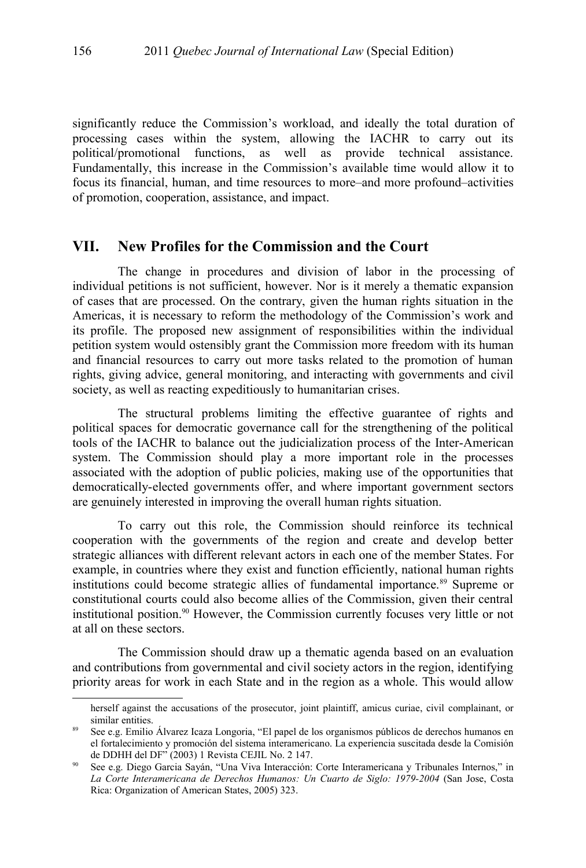significantly reduce the Commission's workload, and ideally the total duration of processing cases within the system, allowing the IACHR to carry out its political/promotional functions, as well as provide technical assistance. Fundamentally, this increase in the Commission's available time would allow it to focus its financial, human, and time resources to more–and more profound–activities of promotion, cooperation, assistance, and impact.

## **VII. New Profiles for the Commission and the Court**

The change in procedures and division of labor in the processing of individual petitions is not sufficient, however. Nor is it merely a thematic expansion of cases that are processed. On the contrary, given the human rights situation in the Americas, it is necessary to reform the methodology of the Commission's work and its profile. The proposed new assignment of responsibilities within the individual petition system would ostensibly grant the Commission more freedom with its human and financial resources to carry out more tasks related to the promotion of human rights, giving advice, general monitoring, and interacting with governments and civil society, as well as reacting expeditiously to humanitarian crises.

The structural problems limiting the effective guarantee of rights and political spaces for democratic governance call for the strengthening of the political tools of the IACHR to balance out the judicialization process of the Inter-American system. The Commission should play a more important role in the processes associated with the adoption of public policies, making use of the opportunities that democratically-elected governments offer, and where important government sectors are genuinely interested in improving the overall human rights situation.

To carry out this role, the Commission should reinforce its technical cooperation with the governments of the region and create and develop better strategic alliances with different relevant actors in each one of the member States. For example, in countries where they exist and function efficiently, national human rights institutions could become strategic allies of fundamental importance.<sup>[89](#page-29-0)</sup> Supreme or constitutional courts could also become allies of the Commission, given their central institutional position.[90](#page-29-1) However, the Commission currently focuses very little or not at all on these sectors.

The Commission should draw up a thematic agenda based on an evaluation and contributions from governmental and civil society actors in the region, identifying priority areas for work in each State and in the region as a whole. This would allow

herself against the accusations of the prosecutor, joint plaintiff, amicus curiae, civil complainant, or similar entities.

<span id="page-29-0"></span>See e.g. Emilio Álvarez Icaza Longoria, "El papel de los organismos públicos de derechos humanos en el fortalecimiento y promoción del sistema interamericano. La experiencia suscitada desde la Comisión de DDHH del DF" (2003) 1 Revista CEJIL No. 2 147.

<span id="page-29-1"></span><sup>90</sup> See e.g. Diego Garcia Sayán, "Una Viva Interacción: Corte Interamericana y Tribunales Internos," in *La Corte Interamericana de Derechos Humanos: Un Cuarto de Siglo: 1979-2004* (San Jose, Costa Rica: Organization of American States, 2005) 323.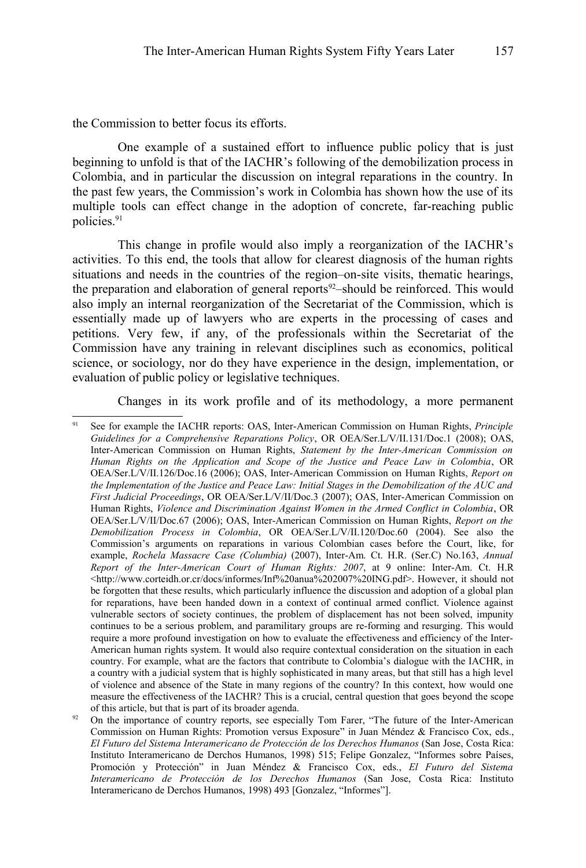the Commission to better focus its efforts.

One example of a sustained effort to influence public policy that is just beginning to unfold is that of the IACHR's following of the demobilization process in Colombia, and in particular the discussion on integral reparations in the country. In the past few years, the Commission's work in Colombia has shown how the use of its multiple tools can effect change in the adoption of concrete, far-reaching public policies.[91](#page-30-0)

This change in profile would also imply a reorganization of the IACHR's activities. To this end, the tools that allow for clearest diagnosis of the human rights situations and needs in the countries of the region–on-site visits, thematic hearings, the preparation and elaboration of general reports<sup>[92](#page-30-1)</sup>–should be reinforced. This would also imply an internal reorganization of the Secretariat of the Commission, which is essentially made up of lawyers who are experts in the processing of cases and petitions. Very few, if any, of the professionals within the Secretariat of the Commission have any training in relevant disciplines such as economics, political science, or sociology, nor do they have experience in the design, implementation, or evaluation of public policy or legislative techniques.

Changes in its work profile and of its methodology, a more permanent

<span id="page-30-0"></span><sup>91</sup> See for example the IACHR reports: OAS, Inter-American Commission on Human Rights, *Principle Guidelines for a Comprehensive Reparations Policy*, OR OEA/Ser.L/V/II.131/Doc.1 (2008); OAS, Inter-American Commission on Human Rights, *Statement by the Inter-American Commission on Human Rights on the Application and Scope of the Justice and Peace Law in Colombia*, OR OEA/Ser.L/V/II.126/Doc.16 (2006); OAS, Inter-American Commission on Human Rights, *Report on the Implementation of the Justice and Peace Law: Initial Stages in the Demobilization of the AUC and First Judicial Proceedings*, OR OEA/Ser.L/V/II/Doc.3 (2007); OAS, Inter-American Commission on Human Rights, *Violence and Discrimination Against Women in the Armed Conflict in Colombia*, OR OEA/Ser.L/V/II/Doc.67 (2006); OAS, Inter-American Commission on Human Rights, *Report on the Demobilization Process in Colombia*, OR OEA/Ser.L/V/II.120/Doc.60 (2004). See also the Commission's arguments on reparations in various Colombian cases before the Court, like, for example, *Rochela Massacre Case (Columbia)* (2007), Inter-Am. Ct. H.R. (Ser.C) No.163, *Annual Report of the Inter-American Court of Human Rights: 2007*, at 9 online: Inter-Am. Ct. H.R <http://www.corteidh.or.cr/docs/informes/Inf%20anua%202007%20ING.pdf>. However, it should not be forgotten that these results, which particularly influence the discussion and adoption of a global plan for reparations, have been handed down in a context of continual armed conflict. Violence against vulnerable sectors of society continues, the problem of displacement has not been solved, impunity continues to be a serious problem, and paramilitary groups are re-forming and resurging. This would require a more profound investigation on how to evaluate the effectiveness and efficiency of the Inter-American human rights system. It would also require contextual consideration on the situation in each country. For example, what are the factors that contribute to Colombia's dialogue with the IACHR, in a country with a judicial system that is highly sophisticated in many areas, but that still has a high level of violence and absence of the State in many regions of the country? In this context, how would one measure the effectiveness of the IACHR? This is a crucial, central question that goes beyond the scope of this article, but that is part of its broader agenda.

<span id="page-30-1"></span><sup>&</sup>lt;sup>92</sup> On the importance of country reports, see especially Tom Farer, "The future of the Inter-American Commission on Human Rights: Promotion versus Exposure" in Juan Méndez & Francisco Cox, eds., *El Futuro del Sistema Interamericano de Protección de los Derechos Humanos* (San Jose, Costa Rica: Instituto Interamericano de Derchos Humanos, 1998) 515; Felipe Gonzalez, "Informes sobre Países, Promoción y Protección" in Juan Méndez & Francisco Cox, eds., *El Futuro del Sistema Interamericano de Protección de los Derechos Humanos* (San Jose, Costa Rica: Instituto Interamericano de Derchos Humanos, 1998) 493 [Gonzalez, "Informes"].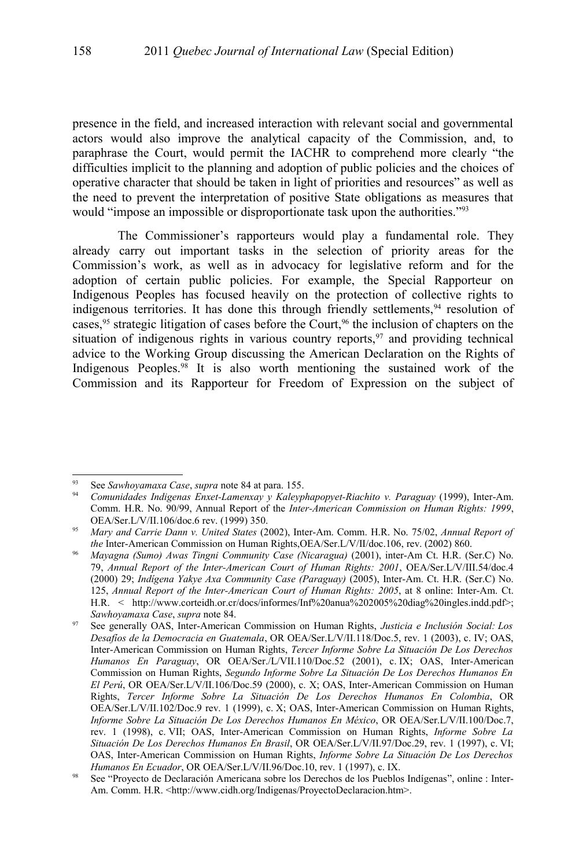presence in the field, and increased interaction with relevant social and governmental actors would also improve the analytical capacity of the Commission, and, to paraphrase the Court, would permit the IACHR to comprehend more clearly "the difficulties implicit to the planning and adoption of public policies and the choices of operative character that should be taken in light of priorities and resources" as well as the need to prevent the interpretation of positive State obligations as measures that would "impose an impossible or disproportionate task upon the authorities."<sup>[93](#page-31-0)</sup>

The Commissioner's rapporteurs would play a fundamental role. They already carry out important tasks in the selection of priority areas for the Commission's work, as well as in advocacy for legislative reform and for the adoption of certain public policies. For example, the Special Rapporteur on Indigenous Peoples has focused heavily on the protection of collective rights to indigenous territories. It has done this through friendly settlements,  $94$  resolution of cases,<sup>[95](#page-31-2)</sup> strategic litigation of cases before the Court,<sup>[96](#page-31-3)</sup> the inclusion of chapters on the situation of indigenous rights in various country reports, $97$  and providing technical advice to the Working Group discussing the American Declaration on the Rights of Indigenous Peoples.[98](#page-31-5) It is also worth mentioning the sustained work of the Commission and its Rapporteur for Freedom of Expression on the subject of

<span id="page-31-0"></span><sup>93</sup> See *Sawhoyamaxa Case*, *supra* note [84](#page-26-0) at para. 155.

<span id="page-31-1"></span><sup>94</sup> *Comunidades Indigenas Enxet-Lamenxay y Kaleyphapopyet-Riachito v. Paraguay* (1999), Inter-Am. Comm. H.R. No. 90/99, Annual Report of the *Inter-American Commission on Human Rights: 1999*, OEA/Ser.L/V/II.106/doc.6 rev. (1999) 350.

<span id="page-31-2"></span><sup>95</sup> *Mary and Carrie Dann v. United States* (2002), Inter-Am. Comm. H.R. No. 75/02, *Annual Report of the* Inter-American Commission on Human Rights,OEA/Ser.L/V/II/doc.106, rev. (2002) 860.

<span id="page-31-3"></span><sup>96</sup> *Mayagna (Sumo) Awas Tingni Community Case (Nicaragua)* (2001), inter-Am Ct. H.R. (Ser.C) No. 79, *Annual Report of the Inter-American Court of Human Rights: 2001*, OEA/Ser.L/V/III.54/doc.4 (2000) 29; *Indígena Yakye Axa Community Case (Paraguay)* (2005), Inter-Am. Ct. H.R. (Ser.C) No. 125, *Annual Report of the Inter-American Court of Human Rights: 2005*, at 8 online: Inter-Am. Ct. H.R. < http://www.corteidh.or.cr/docs/informes/Inf%20anua%202005%20diag%20ingles.indd.pdf>; *Sawhoyamaxa Case*, *supra* note [84.](#page-26-0)

<span id="page-31-4"></span><sup>97</sup> See generally OAS, Inter-American Commission on Human Rights, *Justicia e Inclusión Social: Los Desafíos de la Democracia en Guatemala*, OR OEA/Ser.L/V/II.118/Doc.5, rev. 1 (2003), c. IV; OAS, Inter-American Commission on Human Rights, *Tercer Informe Sobre La Situación De Los Derechos Humanos En Paraguay*, OR OEA/Ser./L/VII.110/Doc.52 (2001), c. IX; OAS, Inter-American Commission on Human Rights, *Segundo Informe Sobre La Situación De Los Derechos Humanos En El Perú*, OR OEA/Ser.L/V/II.106/Doc.59 (2000), c. X; OAS, Inter-American Commission on Human Rights, *Tercer Informe Sobre La Situación De Los Derechos Humanos En Colombia*, OR OEA/Ser.L/V/II.102/Doc.9 rev. 1 (1999), c. X; OAS, Inter-American Commission on Human Rights, *Informe Sobre La Situación De Los Derechos Humanos En México*, OR OEA/Ser.L/V/II.100/Doc.7, rev. 1 (1998), c. VII; OAS, Inter-American Commission on Human Rights, *Informe Sobre La Situación De Los Derechos Humanos En Brasil*, OR OEA/Ser.L/V/II.97/Doc.29, rev. 1 (1997), c. VI; OAS, Inter-American Commission on Human Rights, *Informe Sobre La Situación De Los Derechos Humanos En Ecuador*, OR OEA/Ser.L/V/II.96/Doc.10, rev. 1 (1997), c. IX.

<span id="page-31-5"></span><sup>98</sup> See "Proyecto de Declaración Americana sobre los Derechos de los Pueblos Indígenas", online : Inter-Am. Comm. H.R. <http://www.cidh.org/Indigenas/ProyectoDeclaracion.htm>.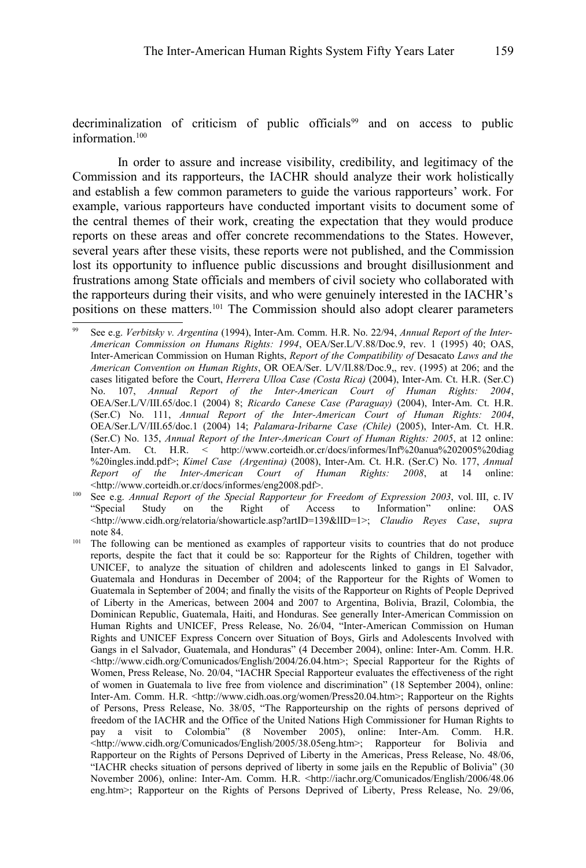decriminalization of criticism of public officials<sup>[99](#page-32-1)</sup> and on access to public information $100$ 

In order to assure and increase visibility, credibility, and legitimacy of the Commission and its rapporteurs, the IACHR should analyze their work holistically and establish a few common parameters to guide the various rapporteurs' work. For example, various rapporteurs have conducted important visits to document some of the central themes of their work, creating the expectation that they would produce reports on these areas and offer concrete recommendations to the States. However, several years after these visits, these reports were not published, and the Commission lost its opportunity to influence public discussions and brought disillusionment and frustrations among State officials and members of civil society who collaborated with the rapporteurs during their visits, and who were genuinely interested in the IACHR's positions on these matters.[101](#page-32-0) The Commission should also adopt clearer parameters

<span id="page-32-1"></span><sup>99</sup> See e.g. *Verbitsky v. Argentina* (1994), Inter-Am. Comm. H.R. No. 22/94, *Annual Report of the Inter-American Commission on Humans Rights: 1994*, OEA/Ser.L/V.88/Doc.9, rev. 1 (1995) 40; OAS, Inter-American Commission on Human Rights, *Report of the Compatibility of* Desacato *Laws and the American Convention on Human Rights*, OR OEA/Ser. L/V/II.88/Doc.9,, rev. (1995) at 206; and the cases litigated before the Court, *Herrera Ulloa Case (Costa Rica)* (2004), Inter-Am. Ct. H.R. (Ser.C) No. 107, *Annual Report of the Inter-American Court of Human Rights: 2004*, OEA/Ser.L/V/III.65/doc.1 (2004) 8; *Ricardo Canese Case (Paraguay)* (2004), Inter-Am. Ct. H.R. (Ser.C) No. 111, *Annual Report of the Inter-American Court of Human Rights: 2004*, OEA/Ser.L/V/III.65/doc.1 (2004) 14; *Palamara-Iribarne Case (Chile)* (2005), Inter-Am. Ct. H.R. (Ser.C) No. 135, *Annual Report of the Inter-American Court of Human Rights: 2005*, at 12 online: Inter-Am. Ct. H.R. < http://www.corteidh.or.cr/docs/informes/Inf%20anua%202005%20diag %20ingles.indd.pdf>; *Kimel Case (Argentina)* (2008), Inter-Am. Ct. H.R. (Ser.C) No. 177, *Annual Report of the Inter-American Court of Human Rights: 2008*, at 14 online: <http://www.corteidh.or.cr/docs/informes/eng2008.pdf>.

<span id="page-32-2"></span>See e.g. *Annual Report of the Special Rapporteur for Freedom of Expression 2003*, vol. III, c. IV "Special Study on the Right of Access to Information" online: OAS <http://www.cidh.org/relatoria/showarticle.asp?artID=139&lID=1>; *Claudio Reyes Case*, *supra* note [84.](#page-26-0)

<span id="page-32-0"></span><sup>&</sup>lt;sup>101</sup> The following can be mentioned as examples of rapporteur visits to countries that do not produce reports, despite the fact that it could be so: Rapporteur for the Rights of Children, together with UNICEF, to analyze the situation of children and adolescents linked to gangs in El Salvador, Guatemala and Honduras in December of 2004; of the Rapporteur for the Rights of Women to Guatemala in September of 2004; and finally the visits of the Rapporteur on Rights of People Deprived of Liberty in the Americas, between 2004 and 2007 to Argentina, Bolivia, Brazil, Colombia, the Dominican Republic, Guatemala, Haiti, and Honduras. See generally Inter-American Commission on Human Rights and UNICEF, Press Release, No. 26/04, "Inter-American Commission on Human Rights and UNICEF Express Concern over Situation of Boys, Girls and Adolescents Involved with Gangs in el Salvador, Guatemala, and Honduras" (4 December 2004), online: Inter-Am. Comm. H.R.  $\text{Khtp://www.cidh.org/Comunicados/English/2004/26.04.htm}$ ; Special Rapporteur for the Rights of Women, Press Release, No. 20/04, "IACHR Special Rapporteur evaluates the effectiveness of the right of women in Guatemala to live free from violence and discrimination" (18 September 2004), online: Inter-Am. Comm. H.R. <http://www.cidh.oas.org/women/Press20.04.htm>; Rapporteur on the Rights of Persons, Press Release, No. 38/05, "The Rapporteurship on the rights of persons deprived of freedom of the IACHR and the Office of the United Nations High Commissioner for Human Rights to pay a visit to Colombia" (8 November 2005), online: Inter-Am. Comm. H.R. <http://www.cidh.org/Comunicados/English/2005/38.05eng.htm>; Rapporteur for Bolivia and Rapporteur on the Rights of Persons Deprived of Liberty in the Americas, Press Release, No. 48/06, "IACHR checks situation of persons deprived of liberty in some jails en the Republic of Bolivia" (30 November 2006), online: Inter-Am. Comm. H.R. <http://iachr.org/Comunicados/English/2006/48.06 eng.htm>; Rapporteur on the Rights of Persons Deprived of Liberty, Press Release, No. 29/06,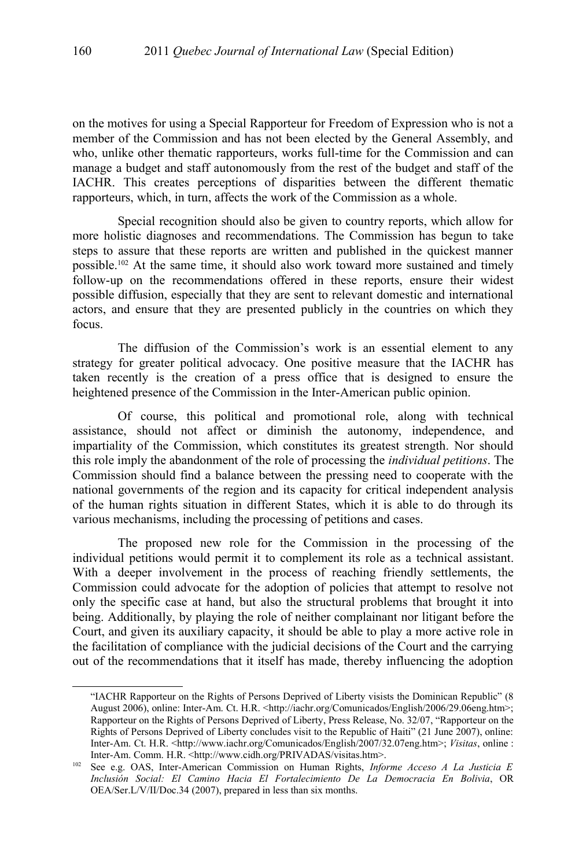on the motives for using a Special Rapporteur for Freedom of Expression who is not a member of the Commission and has not been elected by the General Assembly, and who, unlike other thematic rapporteurs, works full-time for the Commission and can manage a budget and staff autonomously from the rest of the budget and staff of the IACHR. This creates perceptions of disparities between the different thematic rapporteurs, which, in turn, affects the work of the Commission as a whole.

Special recognition should also be given to country reports, which allow for more holistic diagnoses and recommendations. The Commission has begun to take steps to assure that these reports are written and published in the quickest manner possible.[102](#page-33-0) At the same time, it should also work toward more sustained and timely follow-up on the recommendations offered in these reports, ensure their widest possible diffusion, especially that they are sent to relevant domestic and international actors, and ensure that they are presented publicly in the countries on which they focus.

The diffusion of the Commission's work is an essential element to any strategy for greater political advocacy. One positive measure that the IACHR has taken recently is the creation of a press office that is designed to ensure the heightened presence of the Commission in the Inter-American public opinion.

Of course, this political and promotional role, along with technical assistance, should not affect or diminish the autonomy, independence, and impartiality of the Commission, which constitutes its greatest strength. Nor should this role imply the abandonment of the role of processing the *individual petitions*. The Commission should find a balance between the pressing need to cooperate with the national governments of the region and its capacity for critical independent analysis of the human rights situation in different States, which it is able to do through its various mechanisms, including the processing of petitions and cases.

The proposed new role for the Commission in the processing of the individual petitions would permit it to complement its role as a technical assistant. With a deeper involvement in the process of reaching friendly settlements, the Commission could advocate for the adoption of policies that attempt to resolve not only the specific case at hand, but also the structural problems that brought it into being. Additionally, by playing the role of neither complainant nor litigant before the Court, and given its auxiliary capacity, it should be able to play a more active role in the facilitation of compliance with the judicial decisions of the Court and the carrying out of the recommendations that it itself has made, thereby influencing the adoption

<sup>&</sup>quot;IACHR Rapporteur on the Rights of Persons Deprived of Liberty visists the Dominican Republic" (8 August 2006), online: Inter-Am. Ct. H.R. <http://iachr.org/Comunicados/English/2006/29.06eng.htm>; Rapporteur on the Rights of Persons Deprived of Liberty, Press Release, No. 32/07, "Rapporteur on the Rights of Persons Deprived of Liberty concludes visit to the Republic of Haiti" (21 June 2007), online: Inter-Am. Ct. H.R. <http://www.iachr.org/Comunicados/English/2007/32.07eng.htm>; *Visitas*, online : Inter-Am. Comm. H.R. <http://www.cidh.org/PRIVADAS/visitas.htm>.

<span id="page-33-0"></span><sup>102</sup> See e.g. OAS, Inter-American Commission on Human Rights, *Informe Acceso A La Justicia E Inclusión Social: El Camino Hacia El Fortalecimiento De La Democracia En Bolivia*, OR OEA/Ser.L/V/II/Doc.34 (2007), prepared in less than six months.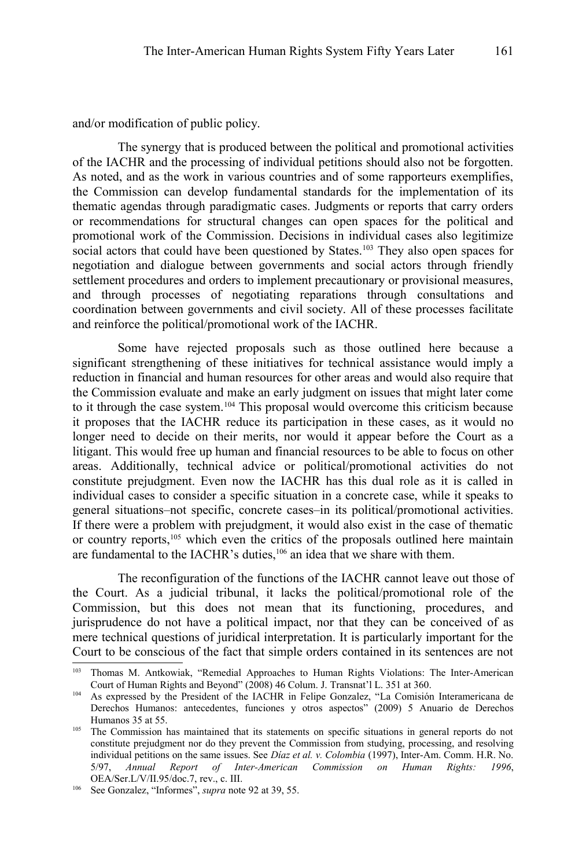and/or modification of public policy.

The synergy that is produced between the political and promotional activities of the IACHR and the processing of individual petitions should also not be forgotten. As noted, and as the work in various countries and of some rapporteurs exemplifies, the Commission can develop fundamental standards for the implementation of its thematic agendas through paradigmatic cases. Judgments or reports that carry orders or recommendations for structural changes can open spaces for the political and promotional work of the Commission. Decisions in individual cases also legitimize social actors that could have been questioned by States.<sup>[103](#page-34-0)</sup> They also open spaces for negotiation and dialogue between governments and social actors through friendly settlement procedures and orders to implement precautionary or provisional measures, and through processes of negotiating reparations through consultations and coordination between governments and civil society. All of these processes facilitate and reinforce the political/promotional work of the IACHR.

Some have rejected proposals such as those outlined here because a significant strengthening of these initiatives for technical assistance would imply a reduction in financial and human resources for other areas and would also require that the Commission evaluate and make an early judgment on issues that might later come to it through the case system.[104](#page-34-1) This proposal would overcome this criticism because it proposes that the IACHR reduce its participation in these cases, as it would no longer need to decide on their merits, nor would it appear before the Court as a litigant. This would free up human and financial resources to be able to focus on other areas. Additionally, technical advice or political/promotional activities do not constitute prejudgment. Even now the IACHR has this dual role as it is called in individual cases to consider a specific situation in a concrete case, while it speaks to general situations–not specific, concrete cases–in its political/promotional activities. If there were a problem with prejudgment, it would also exist in the case of thematic or country reports,[105](#page-34-2) which even the critics of the proposals outlined here maintain are fundamental to the IACHR's duties,[106](#page-34-3) an idea that we share with them.

The reconfiguration of the functions of the IACHR cannot leave out those of the Court. As a judicial tribunal, it lacks the political/promotional role of the Commission, but this does not mean that its functioning, procedures, and jurisprudence do not have a political impact, nor that they can be conceived of as mere technical questions of juridical interpretation. It is particularly important for the Court to be conscious of the fact that simple orders contained in its sentences are not

<span id="page-34-0"></span>Thomas M. Antkowiak, "Remedial Approaches to Human Rights Violations: The Inter-American Court of Human Rights and Beyond" (2008) 46 Colum. J. Transnat'l L. 351 at 360.

<span id="page-34-1"></span><sup>104</sup> As expressed by the President of the IACHR in Felipe Gonzalez, "La Comisión Interamericana de Derechos Humanos: antecedentes, funciones y otros aspectos" (2009) 5 Anuario de Derechos Humanos 35 at 55.

<span id="page-34-2"></span><sup>&</sup>lt;sup>105</sup> The Commission has maintained that its statements on specific situations in general reports do not constitute prejudgment nor do they prevent the Commission from studying, processing, and resolving individual petitions on the same issues. See *Díaz et al. v. Colombia* (1997), Inter-Am. Comm. H.R. No. 5/97, *Annual Report of Inter-American Commission on Human Rights: 1996*, OEA/Ser.L/V/II.95/doc.7, rev., c. III.

<span id="page-34-3"></span><sup>106</sup> See Gonzalez, "Informes", *supra* note [92](#page-30-1) at 39, 55.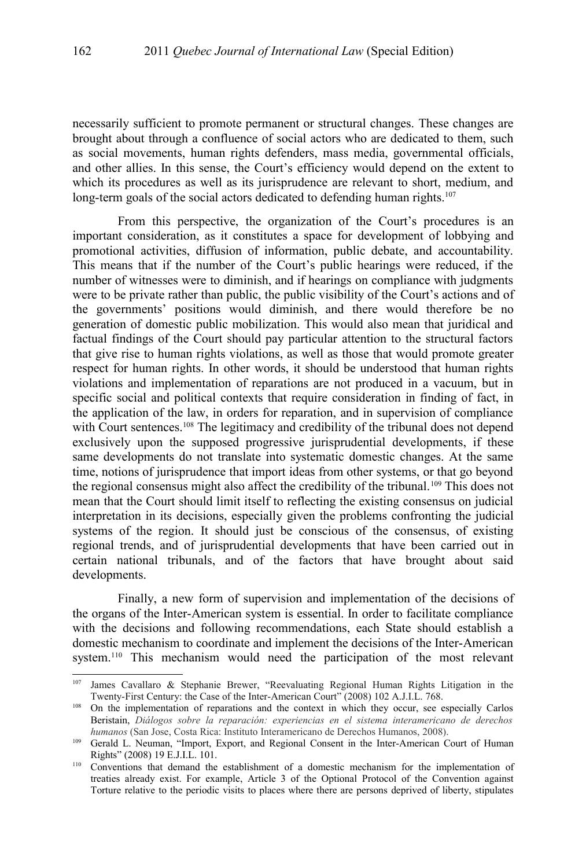necessarily sufficient to promote permanent or structural changes. These changes are brought about through a confluence of social actors who are dedicated to them, such as social movements, human rights defenders, mass media, governmental officials, and other allies. In this sense, the Court's efficiency would depend on the extent to which its procedures as well as its jurisprudence are relevant to short, medium, and long-term goals of the social actors dedicated to defending human rights.<sup>[107](#page-35-0)</sup>

From this perspective, the organization of the Court's procedures is an important consideration, as it constitutes a space for development of lobbying and promotional activities, diffusion of information, public debate, and accountability. This means that if the number of the Court's public hearings were reduced, if the number of witnesses were to diminish, and if hearings on compliance with judgments were to be private rather than public, the public visibility of the Court's actions and of the governments' positions would diminish, and there would therefore be no generation of domestic public mobilization. This would also mean that juridical and factual findings of the Court should pay particular attention to the structural factors that give rise to human rights violations, as well as those that would promote greater respect for human rights. In other words, it should be understood that human rights violations and implementation of reparations are not produced in a vacuum, but in specific social and political contexts that require consideration in finding of fact, in the application of the law, in orders for reparation, and in supervision of compliance with Court sentences.<sup>[108](#page-35-1)</sup> The legitimacy and credibility of the tribunal does not depend exclusively upon the supposed progressive jurisprudential developments, if these same developments do not translate into systematic domestic changes. At the same time, notions of jurisprudence that import ideas from other systems, or that go beyond the regional consensus might also affect the credibility of the tribunal.[109](#page-35-2) This does not mean that the Court should limit itself to reflecting the existing consensus on judicial interpretation in its decisions, especially given the problems confronting the judicial systems of the region. It should just be conscious of the consensus, of existing regional trends, and of jurisprudential developments that have been carried out in certain national tribunals, and of the factors that have brought about said developments.

Finally, a new form of supervision and implementation of the decisions of the organs of the Inter-American system is essential. In order to facilitate compliance with the decisions and following recommendations, each State should establish a domestic mechanism to coordinate and implement the decisions of the Inter-American system.<sup>[110](#page-35-3)</sup> This mechanism would need the participation of the most relevant

<span id="page-35-0"></span>James Cavallaro & Stephanie Brewer, "Reevaluating Regional Human Rights Litigation in the Twenty-First Century: the Case of the Inter-American Court" (2008) 102 A.J.I.L. 768.

<span id="page-35-1"></span><sup>&</sup>lt;sup>108</sup> On the implementation of reparations and the context in which they occur, see especially Carlos Beristain, *Diálogos sobre la reparación: experiencias en el sistema interamericano de derechos humanos* (San Jose, Costa Rica: Instituto Interamericano de Derechos Humanos, 2008).

<span id="page-35-2"></span><sup>109</sup> Gerald L. Neuman, "Import, Export, and Regional Consent in the Inter-American Court of Human Rights" (2008) 19 E.J.I.L. 101.

<span id="page-35-3"></span><sup>&</sup>lt;sup>110</sup> Conventions that demand the establishment of a domestic mechanism for the implementation of treaties already exist. For example, Article 3 of the Optional Protocol of the Convention against Torture relative to the periodic visits to places where there are persons deprived of liberty, stipulates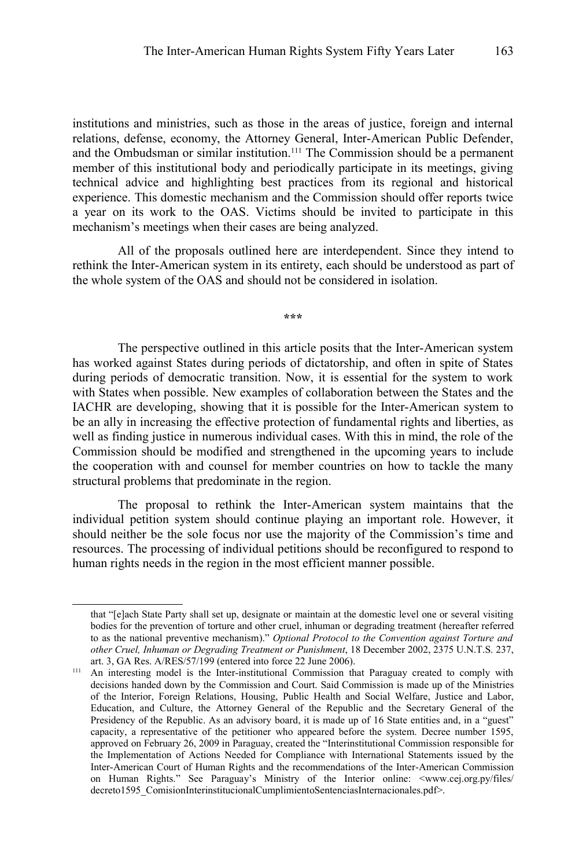institutions and ministries, such as those in the areas of justice, foreign and internal relations, defense, economy, the Attorney General, Inter-American Public Defender, and the Ombudsman or similar institution.[111](#page-36-0) The Commission should be a permanent member of this institutional body and periodically participate in its meetings, giving technical advice and highlighting best practices from its regional and historical experience. This domestic mechanism and the Commission should offer reports twice a year on its work to the OAS. Victims should be invited to participate in this mechanism's meetings when their cases are being analyzed.

All of the proposals outlined here are interdependent. Since they intend to rethink the Inter-American system in its entirety, each should be understood as part of the whole system of the OAS and should not be considered in isolation.

**\*\*\***

The perspective outlined in this article posits that the Inter-American system has worked against States during periods of dictatorship, and often in spite of States during periods of democratic transition. Now, it is essential for the system to work with States when possible. New examples of collaboration between the States and the IACHR are developing, showing that it is possible for the Inter-American system to be an ally in increasing the effective protection of fundamental rights and liberties, as well as finding justice in numerous individual cases. With this in mind, the role of the Commission should be modified and strengthened in the upcoming years to include the cooperation with and counsel for member countries on how to tackle the many structural problems that predominate in the region.

The proposal to rethink the Inter-American system maintains that the individual petition system should continue playing an important role. However, it should neither be the sole focus nor use the majority of the Commission's time and resources. The processing of individual petitions should be reconfigured to respond to human rights needs in the region in the most efficient manner possible.

that "[e]ach State Party shall set up, designate or maintain at the domestic level one or several visiting bodies for the prevention of torture and other cruel, inhuman or degrading treatment (hereafter referred to as the national preventive mechanism)." *Optional Protocol to the Convention against Torture and other Cruel, Inhuman or Degrading Treatment or Punishment*, 18 December 2002, 2375 U.N.T.S. 237, art. 3, GA Res. A/RES/57/199 (entered into force 22 June 2006).

<span id="page-36-0"></span><sup>&</sup>lt;sup>111</sup> An interesting model is the Inter-institutional Commission that Paraguay created to comply with decisions handed down by the Commission and Court. Said Commission is made up of the Ministries of the Interior, Foreign Relations, Housing, Public Health and Social Welfare, Justice and Labor, Education, and Culture, the Attorney General of the Republic and the Secretary General of the Presidency of the Republic. As an advisory board, it is made up of 16 State entities and, in a "guest" capacity, a representative of the petitioner who appeared before the system. Decree number 1595, approved on February 26, 2009 in Paraguay, created the "Interinstitutional Commission responsible for the Implementation of Actions Needed for Compliance with International Statements issued by the Inter-American Court of Human Rights and the recommendations of the Inter-American Commission on Human Rights." See Paraguay's Ministry of the Interior online: <www.cej.org.py/files/ decreto1595\_ComisionInterinstitucionalCumplimientoSentenciasInternacionales.pdf>.